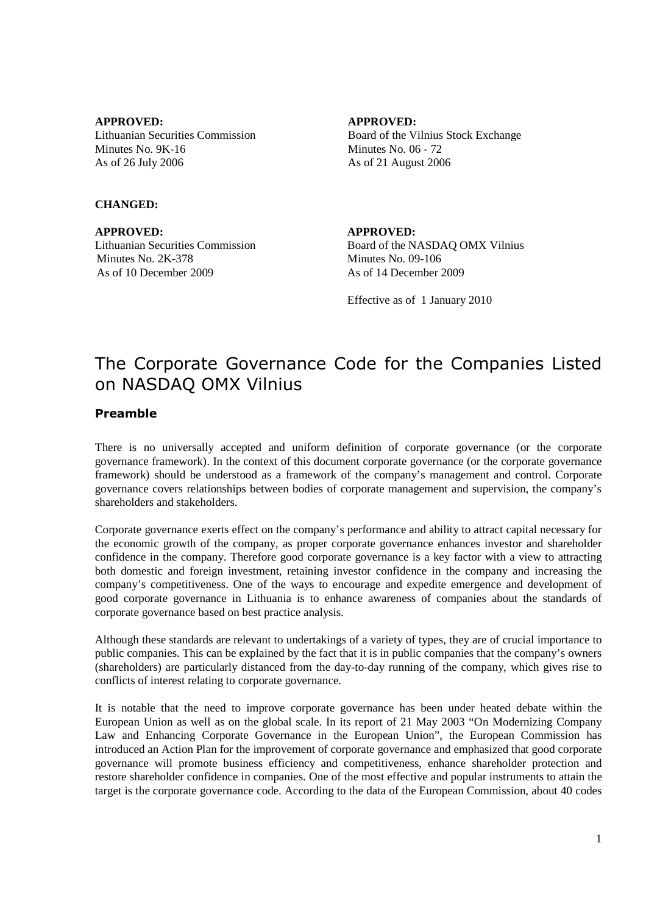**APPROVED:** Lithuanian Securities Commission Minutes No. 9K-16 As of 26 July 2006

#### **CHANGED:**

**APPROVED:**  Lithuanian Securities Commission Minutes No. 2K-378 As of 10 December 2009

**APPROVED:** Board of the Vilnius Stock Exchange Minutes No. 06 - 72 As of 21 August 2006

#### **APPROVED:**

Board of the NASDAQ OMX Vilnius Minutes No. 09-106 As of 14 December 2009

Effective as of 1 January 2010

# The Corporate Governance Code for the Companies Listed on NASDAQ OMX Vilnius

## **Preamble**

There is no universally accepted and uniform definition of corporate governance (or the corporate governance framework). In the context of this document corporate governance (or the corporate governance framework) should be understood as a framework of the company's management and control. Corporate governance covers relationships between bodies of corporate management and supervision, the company's shareholders and stakeholders.

Corporate governance exerts effect on the company's performance and ability to attract capital necessary for the economic growth of the company, as proper corporate governance enhances investor and shareholder confidence in the company. Therefore good corporate governance is a key factor with a view to attracting both domestic and foreign investment, retaining investor confidence in the company and increasing the company's competitiveness. One of the ways to encourage and expedite emergence and development of good corporate governance in Lithuania is to enhance awareness of companies about the standards of corporate governance based on best practice analysis.

Although these standards are relevant to undertakings of a variety of types, they are of crucial importance to public companies. This can be explained by the fact that it is in public companies that the company's owners (shareholders) are particularly distanced from the day-to-day running of the company, which gives rise to conflicts of interest relating to corporate governance.

It is notable that the need to improve corporate governance has been under heated debate within the European Union as well as on the global scale. In its report of 21 May 2003 "On Modernizing Company Law and Enhancing Corporate Governance in the European Union", the European Commission has introduced an Action Plan for the improvement of corporate governance and emphasized that good corporate governance will promote business efficiency and competitiveness, enhance shareholder protection and restore shareholder confidence in companies. One of the most effective and popular instruments to attain the target is the corporate governance code. According to the data of the European Commission, about 40 codes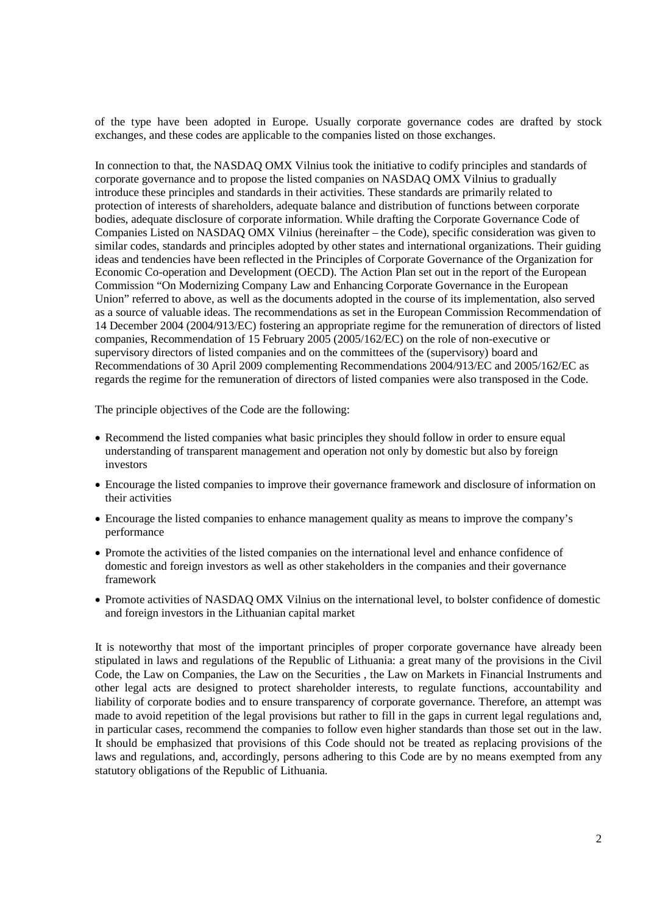of the type have been adopted in Europe. Usually corporate governance codes are drafted by stock exchanges, and these codes are applicable to the companies listed on those exchanges.

In connection to that, the NASDAQ OMX Vilnius took the initiative to codify principles and standards of corporate governance and to propose the listed companies on NASDAQ OMX Vilnius to gradually introduce these principles and standards in their activities. These standards are primarily related to protection of interests of shareholders, adequate balance and distribution of functions between corporate bodies, adequate disclosure of corporate information. While drafting the Corporate Governance Code of Companies Listed on NASDAQ OMX Vilnius (hereinafter – the Code), specific consideration was given to similar codes, standards and principles adopted by other states and international organizations. Their guiding ideas and tendencies have been reflected in the Principles of Corporate Governance of the Organization for Economic Co-operation and Development (OECD). The Action Plan set out in the report of the European Commission "On Modernizing Company Law and Enhancing Corporate Governance in the European Union" referred to above, as well as the documents adopted in the course of its implementation, also served as a source of valuable ideas. The recommendations as set in the European Commission Recommendation of 14 December 2004 (2004/913/EC) fostering an appropriate regime for the remuneration of directors of listed companies, Recommendation of 15 February 2005 (2005/162/EC) on the role of non-executive or supervisory directors of listed companies and on the committees of the (supervisory) board and Recommendations of 30 April 2009 complementing Recommendations 2004/913/EC and 2005/162/EC as regards the regime for the remuneration of directors of listed companies were also transposed in the Code.

The principle objectives of the Code are the following:

- Recommend the listed companies what basic principles they should follow in order to ensure equal understanding of transparent management and operation not only by domestic but also by foreign investors
- Encourage the listed companies to improve their governance framework and disclosure of information on their activities
- Encourage the listed companies to enhance management quality as means to improve the company's performance
- Promote the activities of the listed companies on the international level and enhance confidence of domestic and foreign investors as well as other stakeholders in the companies and their governance framework
- Promote activities of NASDAQ OMX Vilnius on the international level, to bolster confidence of domestic and foreign investors in the Lithuanian capital market

It is noteworthy that most of the important principles of proper corporate governance have already been stipulated in laws and regulations of the Republic of Lithuania: a great many of the provisions in the Civil Code, the Law on Companies, the Law on the Securities , the Law on Markets in Financial Instruments and other legal acts are designed to protect shareholder interests, to regulate functions, accountability and liability of corporate bodies and to ensure transparency of corporate governance. Therefore, an attempt was made to avoid repetition of the legal provisions but rather to fill in the gaps in current legal regulations and, in particular cases, recommend the companies to follow even higher standards than those set out in the law. It should be emphasized that provisions of this Code should not be treated as replacing provisions of the laws and regulations, and, accordingly, persons adhering to this Code are by no means exempted from any statutory obligations of the Republic of Lithuania.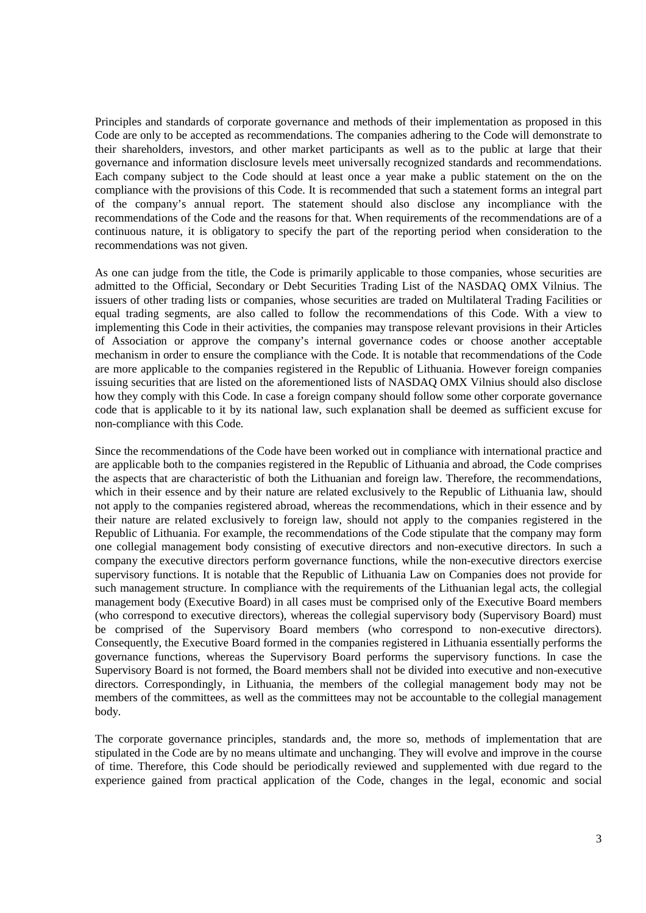Principles and standards of corporate governance and methods of their implementation as proposed in this Code are only to be accepted as recommendations. The companies adhering to the Code will demonstrate to their shareholders, investors, and other market participants as well as to the public at large that their governance and information disclosure levels meet universally recognized standards and recommendations. Each company subject to the Code should at least once a year make a public statement on the on the compliance with the provisions of this Code. It is recommended that such a statement forms an integral part of the company's annual report. The statement should also disclose any incompliance with the recommendations of the Code and the reasons for that. When requirements of the recommendations are of a continuous nature, it is obligatory to specify the part of the reporting period when consideration to the recommendations was not given.

As one can judge from the title, the Code is primarily applicable to those companies, whose securities are admitted to the Official, Secondary or Debt Securities Trading List of the NASDAQ OMX Vilnius. The issuers of other trading lists or companies, whose securities are traded on Multilateral Trading Facilities or equal trading segments, are also called to follow the recommendations of this Code. With a view to implementing this Code in their activities, the companies may transpose relevant provisions in their Articles of Association or approve the company's internal governance codes or choose another acceptable mechanism in order to ensure the compliance with the Code. It is notable that recommendations of the Code are more applicable to the companies registered in the Republic of Lithuania. However foreign companies issuing securities that are listed on the aforementioned lists of NASDAQ OMX Vilnius should also disclose how they comply with this Code. In case a foreign company should follow some other corporate governance code that is applicable to it by its national law, such explanation shall be deemed as sufficient excuse for non-compliance with this Code.

Since the recommendations of the Code have been worked out in compliance with international practice and are applicable both to the companies registered in the Republic of Lithuania and abroad, the Code comprises the aspects that are characteristic of both the Lithuanian and foreign law. Therefore, the recommendations, which in their essence and by their nature are related exclusively to the Republic of Lithuania law, should not apply to the companies registered abroad, whereas the recommendations, which in their essence and by their nature are related exclusively to foreign law, should not apply to the companies registered in the Republic of Lithuania. For example, the recommendations of the Code stipulate that the company may form one collegial management body consisting of executive directors and non-executive directors. In such a company the executive directors perform governance functions, while the non-executive directors exercise supervisory functions. It is notable that the Republic of Lithuania Law on Companies does not provide for such management structure. In compliance with the requirements of the Lithuanian legal acts, the collegial management body (Executive Board) in all cases must be comprised only of the Executive Board members (who correspond to executive directors), whereas the collegial supervisory body (Supervisory Board) must be comprised of the Supervisory Board members (who correspond to non-executive directors). Consequently, the Executive Board formed in the companies registered in Lithuania essentially performs the governance functions, whereas the Supervisory Board performs the supervisory functions. In case the Supervisory Board is not formed, the Board members shall not be divided into executive and non-executive directors. Correspondingly, in Lithuania, the members of the collegial management body may not be members of the committees, as well as the committees may not be accountable to the collegial management body.

The corporate governance principles, standards and, the more so, methods of implementation that are stipulated in the Code are by no means ultimate and unchanging. They will evolve and improve in the course of time. Therefore, this Code should be periodically reviewed and supplemented with due regard to the experience gained from practical application of the Code, changes in the legal, economic and social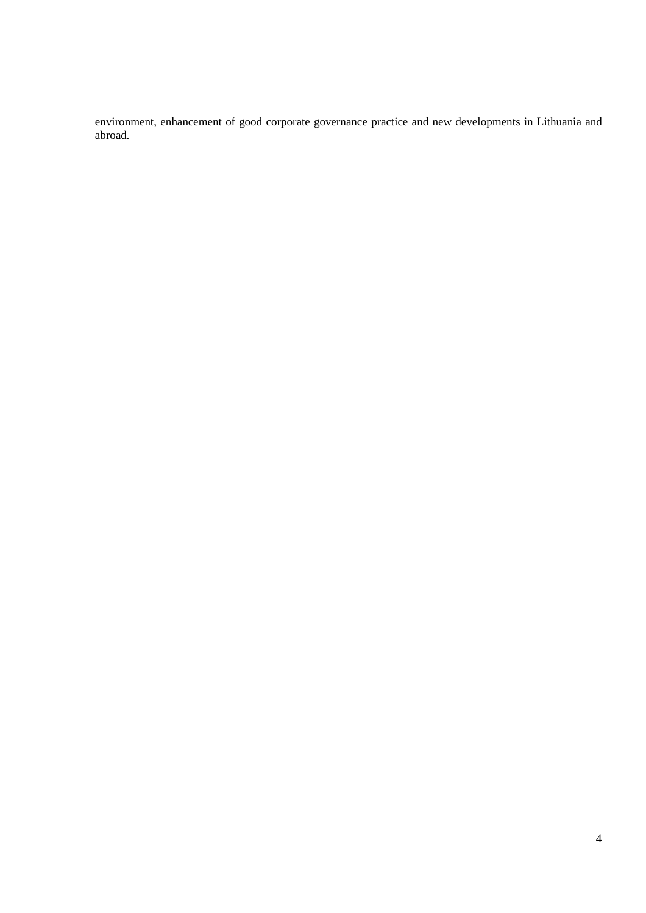environment, enhancement of good corporate governance practice and new developments in Lithuania and abroad.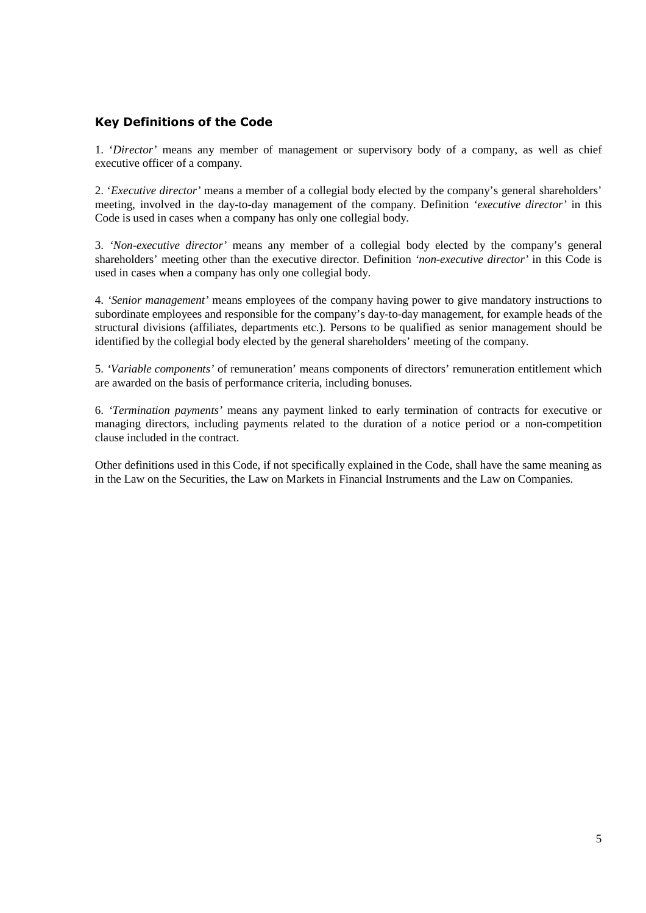# **Key Definitions of the Code**

1. '*Director'* means any member of management or supervisory body of a company, as well as chief executive officer of a company.

2. '*Executive director'* means a member of a collegial body elected by the company's general shareholders' meeting, involved in the day-to-day management of the company. Definition *'executive director'* in this Code is used in cases when a company has only one collegial body.

3. *'Non-executive director'* means any member of a collegial body elected by the company's general shareholders' meeting other than the executive director. Definition *'non-executive director'* in this Code is used in cases when a company has only one collegial body.

4. *'Senior management'* means employees of the company having power to give mandatory instructions to subordinate employees and responsible for the company's day-to-day management, for example heads of the structural divisions (affiliates, departments etc.). Persons to be qualified as senior management should be identified by the collegial body elected by the general shareholders' meeting of the company.

5. *'Variable components'* of remuneration' means components of directors' remuneration entitlement which are awarded on the basis of performance criteria, including bonuses.

6. *'Termination payments'* means any payment linked to early termination of contracts for executive or managing directors, including payments related to the duration of a notice period or a non-competition clause included in the contract.

Other definitions used in this Code, if not specifically explained in the Code, shall have the same meaning as in the Law on the Securities, the Law on Markets in Financial Instruments and the Law on Companies.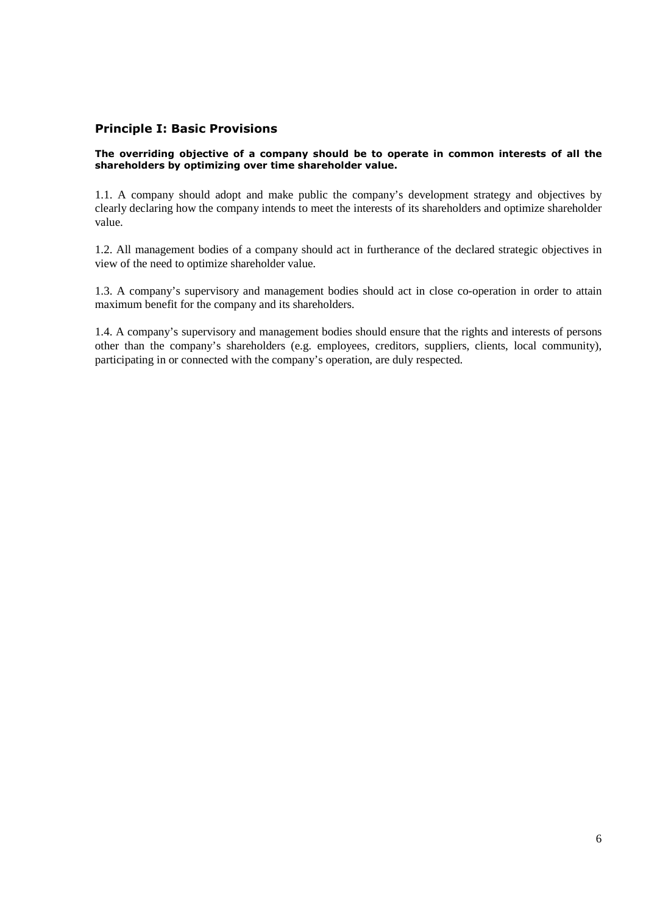# **Principle I: Basic Provisions**

#### **The overriding objective of a company should be to operate in common interests of all the shareholders by optimizing over time shareholder value.**

1.1. A company should adopt and make public the company's development strategy and objectives by clearly declaring how the company intends to meet the interests of its shareholders and optimize shareholder value.

1.2. All management bodies of a company should act in furtherance of the declared strategic objectives in view of the need to optimize shareholder value.

1.3. A company's supervisory and management bodies should act in close co-operation in order to attain maximum benefit for the company and its shareholders.

1.4. A company's supervisory and management bodies should ensure that the rights and interests of persons other than the company's shareholders (e.g. employees, creditors, suppliers, clients, local community), participating in or connected with the company's operation, are duly respected.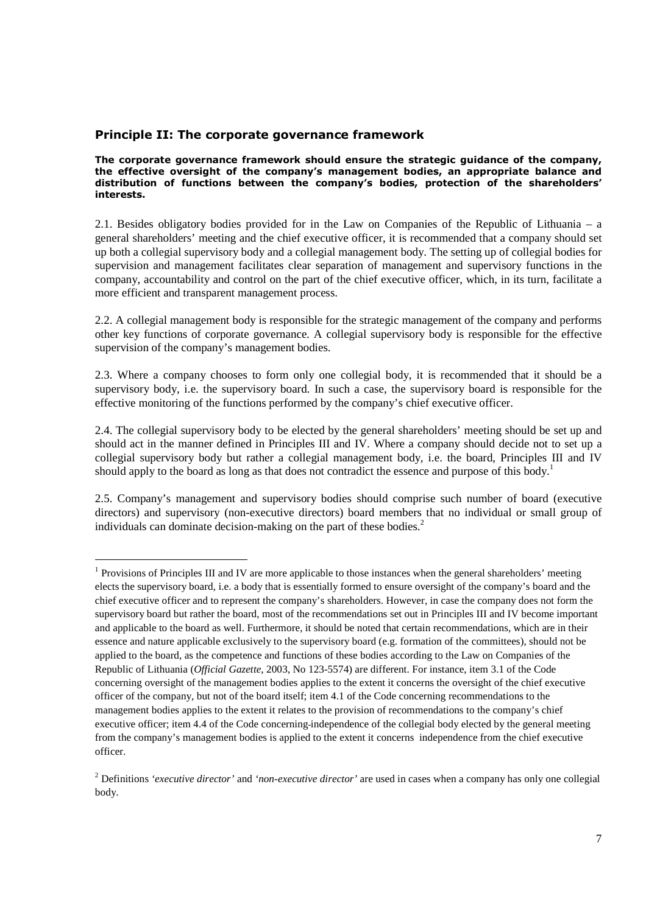## **Principle II: The corporate governance framework**

 $\overline{a}$ 

**The corporate governance framework should ensure the strategic guidance of the company, the effective oversight of the company's management bodies, an appropriate balance and distribution of functions between the company's bodies, protection of the shareholders' interests.** 

2.1. Besides obligatory bodies provided for in the Law on Companies of the Republic of Lithuania – a general shareholders' meeting and the chief executive officer, it is recommended that a company should set up both a collegial supervisory body and a collegial management body. The setting up of collegial bodies for supervision and management facilitates clear separation of management and supervisory functions in the company, accountability and control on the part of the chief executive officer, which, in its turn, facilitate a more efficient and transparent management process.

2.2. A collegial management body is responsible for the strategic management of the company and performs other key functions of corporate governance. A collegial supervisory body is responsible for the effective supervision of the company's management bodies.

2.3. Where a company chooses to form only one collegial body, it is recommended that it should be a supervisory body, i.e. the supervisory board. In such a case, the supervisory board is responsible for the effective monitoring of the functions performed by the company's chief executive officer.

2.4. The collegial supervisory body to be elected by the general shareholders' meeting should be set up and should act in the manner defined in Principles III and IV. Where a company should decide not to set up a collegial supervisory body but rather a collegial management body, i.e. the board, Principles III and IV should apply to the board as long as that does not contradict the essence and purpose of this body.<sup>1</sup>

2.5. Company's management and supervisory bodies should comprise such number of board (executive directors) and supervisory (non-executive directors) board members that no individual or small group of individuals can dominate decision-making on the part of these bodies. $2$ 

<sup>&</sup>lt;sup>1</sup> Provisions of Principles III and IV are more applicable to those instances when the general shareholders' meeting elects the supervisory board, i.e. a body that is essentially formed to ensure oversight of the company's board and the chief executive officer and to represent the company's shareholders. However, in case the company does not form the supervisory board but rather the board, most of the recommendations set out in Principles III and IV become important and applicable to the board as well. Furthermore, it should be noted that certain recommendations, which are in their essence and nature applicable exclusively to the supervisory board (e.g. formation of the committees), should not be applied to the board, as the competence and functions of these bodies according to the Law on Companies of the Republic of Lithuania (*Official Gazette*, 2003, No 123-5574) are different. For instance, item 3.1 of the Code concerning oversight of the management bodies applies to the extent it concerns the oversight of the chief executive officer of the company, but not of the board itself; item 4.1 of the Code concerning recommendations to the management bodies applies to the extent it relates to the provision of recommendations to the company's chief executive officer; item 4.4 of the Code concerning independence of the collegial body elected by the general meeting from the company's management bodies is applied to the extent it concerns independence from the chief executive officer.

<sup>2</sup> Definitions *'executive director'* and *'non-executive director'* are used in cases when a company has only one collegial body.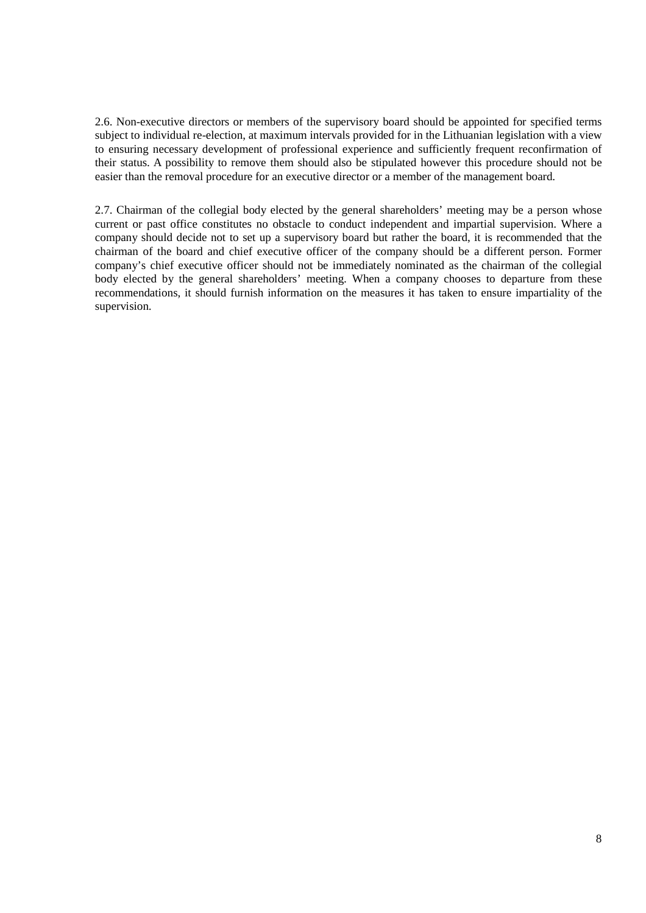2.6. Non-executive directors or members of the supervisory board should be appointed for specified terms subject to individual re-election, at maximum intervals provided for in the Lithuanian legislation with a view to ensuring necessary development of professional experience and sufficiently frequent reconfirmation of their status. A possibility to remove them should also be stipulated however this procedure should not be easier than the removal procedure for an executive director or a member of the management board.

2.7. Chairman of the collegial body elected by the general shareholders' meeting may be a person whose current or past office constitutes no obstacle to conduct independent and impartial supervision. Where a company should decide not to set up a supervisory board but rather the board, it is recommended that the chairman of the board and chief executive officer of the company should be a different person. Former company's chief executive officer should not be immediately nominated as the chairman of the collegial body elected by the general shareholders' meeting. When a company chooses to departure from these recommendations, it should furnish information on the measures it has taken to ensure impartiality of the supervision.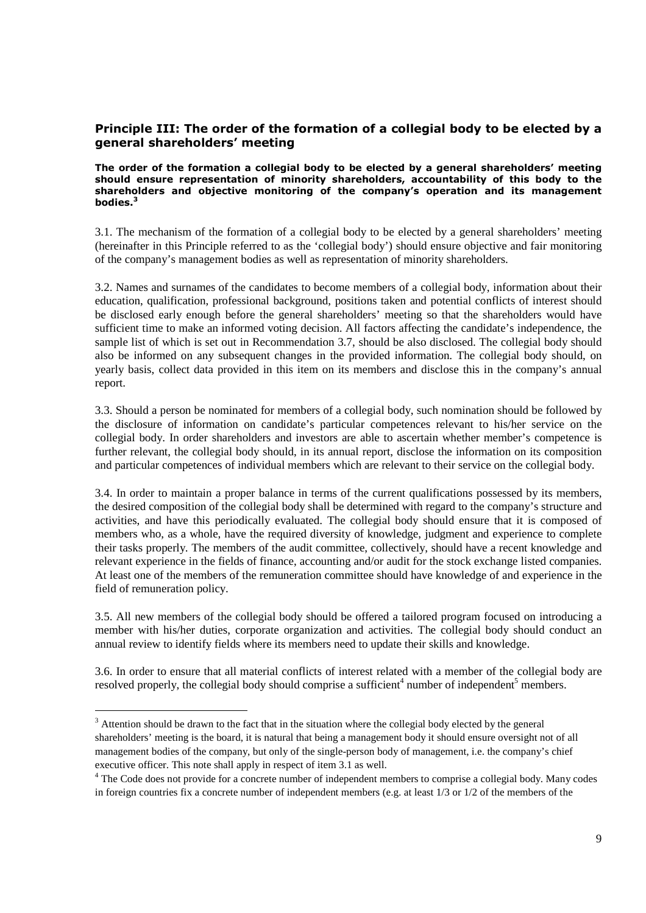# **Principle III: The order of the formation of a collegial body to be elected by a general shareholders' meeting**

#### **The order of the formation a collegial body to be elected by a general shareholders' meeting should ensure representation of minority shareholders, accountability of this body to the shareholders and objective monitoring of the company's operation and its management bodies.<sup>3</sup>**

3.1. The mechanism of the formation of a collegial body to be elected by a general shareholders' meeting (hereinafter in this Principle referred to as the 'collegial body') should ensure objective and fair monitoring of the company's management bodies as well as representation of minority shareholders.

3.2. Names and surnames of the candidates to become members of a collegial body, information about their education, qualification, professional background, positions taken and potential conflicts of interest should be disclosed early enough before the general shareholders' meeting so that the shareholders would have sufficient time to make an informed voting decision. All factors affecting the candidate's independence, the sample list of which is set out in Recommendation 3.7, should be also disclosed. The collegial body should also be informed on any subsequent changes in the provided information. The collegial body should, on yearly basis, collect data provided in this item on its members and disclose this in the company's annual report.

3.3. Should a person be nominated for members of a collegial body, such nomination should be followed by the disclosure of information on candidate's particular competences relevant to his/her service on the collegial body. In order shareholders and investors are able to ascertain whether member's competence is further relevant, the collegial body should, in its annual report, disclose the information on its composition and particular competences of individual members which are relevant to their service on the collegial body.

3.4. In order to maintain a proper balance in terms of the current qualifications possessed by its members, the desired composition of the collegial body shall be determined with regard to the company's structure and activities, and have this periodically evaluated. The collegial body should ensure that it is composed of members who, as a whole, have the required diversity of knowledge, judgment and experience to complete their tasks properly. The members of the audit committee, collectively, should have a recent knowledge and relevant experience in the fields of finance, accounting and/or audit for the stock exchange listed companies. At least one of the members of the remuneration committee should have knowledge of and experience in the field of remuneration policy.

3.5. All new members of the collegial body should be offered a tailored program focused on introducing a member with his/her duties, corporate organization and activities. The collegial body should conduct an annual review to identify fields where its members need to update their skills and knowledge.

3.6. In order to ensure that all material conflicts of interest related with a member of the collegial body are resolved properly, the collegial body should comprise a sufficient<sup>4</sup> number of independent<sup>5</sup> members.

<sup>&</sup>lt;sup>3</sup> Attention should be drawn to the fact that in the situation where the collegial body elected by the general shareholders' meeting is the board, it is natural that being a management body it should ensure oversight not of all management bodies of the company, but only of the single-person body of management, i.e. the company's chief executive officer. This note shall apply in respect of item 3.1 as well.

<sup>&</sup>lt;sup>4</sup> The Code does not provide for a concrete number of independent members to comprise a collegial body. Many codes in foreign countries fix a concrete number of independent members (e.g. at least  $1/3$  or  $1/2$  of the members of the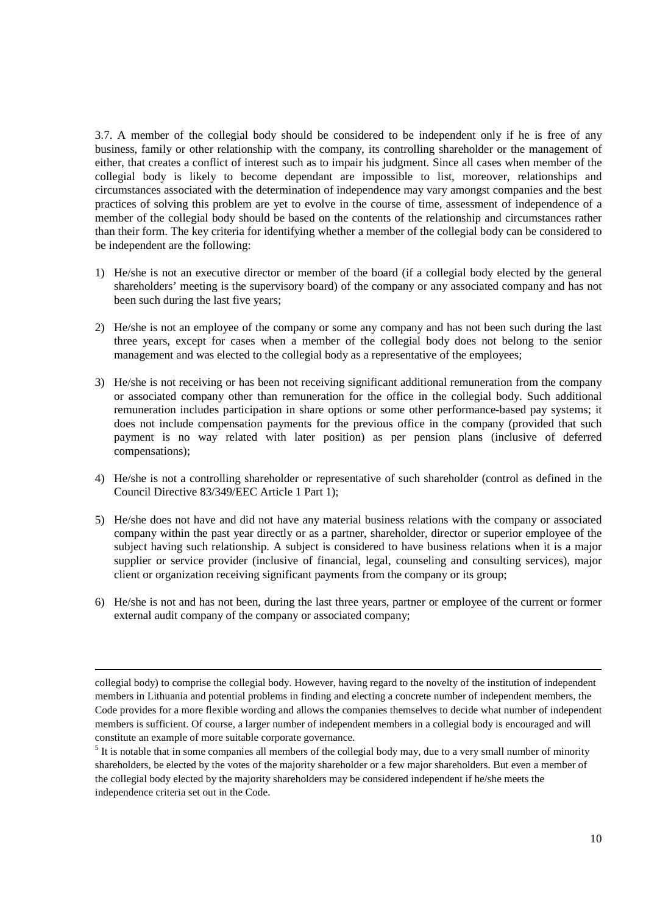3.7. A member of the collegial body should be considered to be independent only if he is free of any business, family or other relationship with the company, its controlling shareholder or the management of either, that creates a conflict of interest such as to impair his judgment. Since all cases when member of the collegial body is likely to become dependant are impossible to list, moreover, relationships and circumstances associated with the determination of independence may vary amongst companies and the best practices of solving this problem are yet to evolve in the course of time, assessment of independence of a member of the collegial body should be based on the contents of the relationship and circumstances rather than their form. The key criteria for identifying whether a member of the collegial body can be considered to be independent are the following:

- 1) He/she is not an executive director or member of the board (if a collegial body elected by the general shareholders' meeting is the supervisory board) of the company or any associated company and has not been such during the last five years;
- 2) He/she is not an employee of the company or some any company and has not been such during the last three years, except for cases when a member of the collegial body does not belong to the senior management and was elected to the collegial body as a representative of the employees;
- 3) He/she is not receiving or has been not receiving significant additional remuneration from the company or associated company other than remuneration for the office in the collegial body. Such additional remuneration includes participation in share options or some other performance-based pay systems; it does not include compensation payments for the previous office in the company (provided that such payment is no way related with later position) as per pension plans (inclusive of deferred compensations);
- 4) He/she is not a controlling shareholder or representative of such shareholder (control as defined in the Council Directive 83/349/EEC Article 1 Part 1);
- 5) He/she does not have and did not have any material business relations with the company or associated company within the past year directly or as a partner, shareholder, director or superior employee of the subject having such relationship. A subject is considered to have business relations when it is a major supplier or service provider (inclusive of financial, legal, counseling and consulting services), major client or organization receiving significant payments from the company or its group;
- 6) He/she is not and has not been, during the last three years, partner or employee of the current or former external audit company of the company or associated company;

collegial body) to comprise the collegial body. However, having regard to the novelty of the institution of independent members in Lithuania and potential problems in finding and electing a concrete number of independent members, the Code provides for a more flexible wording and allows the companies themselves to decide what number of independent members is sufficient. Of course, a larger number of independent members in a collegial body is encouraged and will constitute an example of more suitable corporate governance.

 $<sup>5</sup>$  It is notable that in some companies all members of the collegial body may, due to a very small number of minority</sup> shareholders, be elected by the votes of the majority shareholder or a few major shareholders. But even a member of the collegial body elected by the majority shareholders may be considered independent if he/she meets the independence criteria set out in the Code.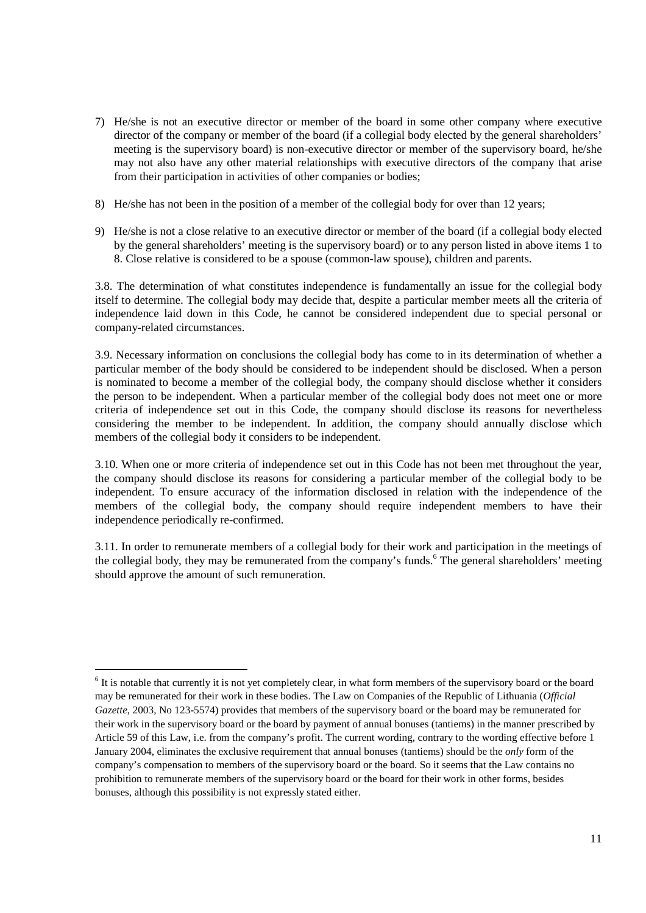- 7) He/she is not an executive director or member of the board in some other company where executive director of the company or member of the board (if a collegial body elected by the general shareholders' meeting is the supervisory board) is non-executive director or member of the supervisory board, he/she may not also have any other material relationships with executive directors of the company that arise from their participation in activities of other companies or bodies;
- 8) He/she has not been in the position of a member of the collegial body for over than 12 years;
- 9) He/she is not a close relative to an executive director or member of the board (if a collegial body elected by the general shareholders' meeting is the supervisory board) or to any person listed in above items 1 to 8. Close relative is considered to be a spouse (common-law spouse), children and parents.

3.8. The determination of what constitutes independence is fundamentally an issue for the collegial body itself to determine. The collegial body may decide that, despite a particular member meets all the criteria of independence laid down in this Code, he cannot be considered independent due to special personal or company-related circumstances.

3.9. Necessary information on conclusions the collegial body has come to in its determination of whether a particular member of the body should be considered to be independent should be disclosed. When a person is nominated to become a member of the collegial body, the company should disclose whether it considers the person to be independent. When a particular member of the collegial body does not meet one or more criteria of independence set out in this Code, the company should disclose its reasons for nevertheless considering the member to be independent. In addition, the company should annually disclose which members of the collegial body it considers to be independent.

3.10. When one or more criteria of independence set out in this Code has not been met throughout the year, the company should disclose its reasons for considering a particular member of the collegial body to be independent. To ensure accuracy of the information disclosed in relation with the independence of the members of the collegial body, the company should require independent members to have their independence periodically re-confirmed.

3.11. In order to remunerate members of a collegial body for their work and participation in the meetings of the collegial body, they may be remunerated from the company's funds.<sup>6</sup> The general shareholders' meeting should approve the amount of such remuneration.

 $6$  It is notable that currently it is not yet completely clear, in what form members of the supervisory board or the board may be remunerated for their work in these bodies. The Law on Companies of the Republic of Lithuania (*Official Gazette*, 2003, No 123-5574) provides that members of the supervisory board or the board may be remunerated for their work in the supervisory board or the board by payment of annual bonuses (tantiems) in the manner prescribed by Article 59 of this Law, i.e. from the company's profit. The current wording, contrary to the wording effective before 1 January 2004, eliminates the exclusive requirement that annual bonuses (tantiems) should be the *only* form of the company's compensation to members of the supervisory board or the board. So it seems that the Law contains no prohibition to remunerate members of the supervisory board or the board for their work in other forms, besides bonuses, although this possibility is not expressly stated either.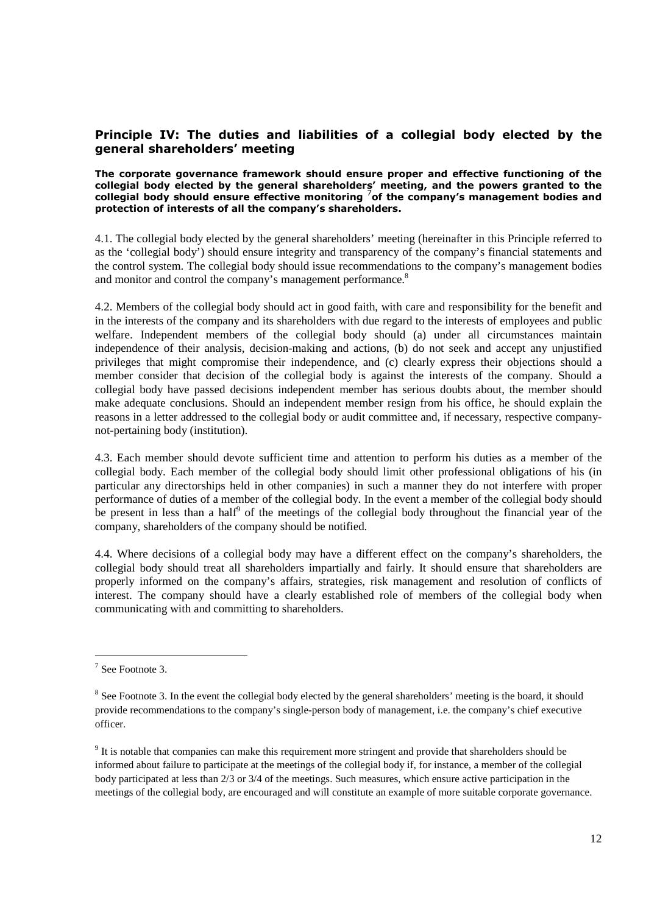# **Principle IV: The duties and liabilities of a collegial body elected by the general shareholders' meeting**

#### **The corporate governance framework should ensure proper and effective functioning of the collegial body elected by the general shareholders' meeting, and the powers granted to the collegial body should ensure effective monitoring** <sup>7</sup> **of the company's management bodies and protection of interests of all the company's shareholders.**

4.1. The collegial body elected by the general shareholders' meeting (hereinafter in this Principle referred to as the 'collegial body') should ensure integrity and transparency of the company's financial statements and the control system. The collegial body should issue recommendations to the company's management bodies and monitor and control the company's management performance.<sup>8</sup>

4.2. Members of the collegial body should act in good faith, with care and responsibility for the benefit and in the interests of the company and its shareholders with due regard to the interests of employees and public welfare. Independent members of the collegial body should (a) under all circumstances maintain independence of their analysis, decision-making and actions, (b) do not seek and accept any unjustified privileges that might compromise their independence, and (c) clearly express their objections should a member consider that decision of the collegial body is against the interests of the company. Should a collegial body have passed decisions independent member has serious doubts about, the member should make adequate conclusions. Should an independent member resign from his office, he should explain the reasons in a letter addressed to the collegial body or audit committee and, if necessary, respective companynot-pertaining body (institution).

4.3. Each member should devote sufficient time and attention to perform his duties as a member of the collegial body. Each member of the collegial body should limit other professional obligations of his (in particular any directorships held in other companies) in such a manner they do not interfere with proper performance of duties of a member of the collegial body. In the event a member of the collegial body should be present in less than a half<sup>9</sup> of the meetings of the collegial body throughout the financial year of the company, shareholders of the company should be notified.

4.4. Where decisions of a collegial body may have a different effect on the company's shareholders, the collegial body should treat all shareholders impartially and fairly. It should ensure that shareholders are properly informed on the company's affairs, strategies, risk management and resolution of conflicts of interest. The company should have a clearly established role of members of the collegial body when communicating with and committing to shareholders.

<sup>7</sup> See Footnote 3.

 $8$  See Footnote 3. In the event the collegial body elected by the general shareholders' meeting is the board, it should provide recommendations to the company's single-person body of management, i.e. the company's chief executive officer.

 $9$  It is notable that companies can make this requirement more stringent and provide that shareholders should be informed about failure to participate at the meetings of the collegial body if, for instance, a member of the collegial body participated at less than 2/3 or 3/4 of the meetings. Such measures, which ensure active participation in the meetings of the collegial body, are encouraged and will constitute an example of more suitable corporate governance.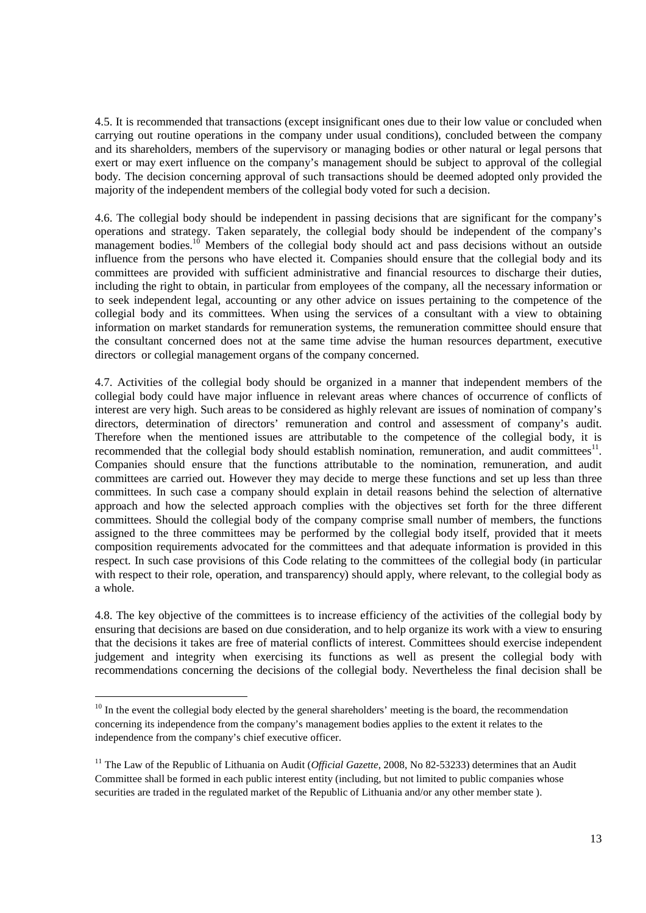4.5. It is recommended that transactions (except insignificant ones due to their low value or concluded when carrying out routine operations in the company under usual conditions), concluded between the company and its shareholders, members of the supervisory or managing bodies or other natural or legal persons that exert or may exert influence on the company's management should be subject to approval of the collegial body. The decision concerning approval of such transactions should be deemed adopted only provided the majority of the independent members of the collegial body voted for such a decision.

4.6. The collegial body should be independent in passing decisions that are significant for the company's operations and strategy. Taken separately, the collegial body should be independent of the company's management bodies.<sup>10</sup> Members of the collegial body should act and pass decisions without an outside influence from the persons who have elected it. Companies should ensure that the collegial body and its committees are provided with sufficient administrative and financial resources to discharge their duties, including the right to obtain, in particular from employees of the company, all the necessary information or to seek independent legal, accounting or any other advice on issues pertaining to the competence of the collegial body and its committees. When using the services of a consultant with a view to obtaining information on market standards for remuneration systems, the remuneration committee should ensure that the consultant concerned does not at the same time advise the human resources department, executive directors or collegial management organs of the company concerned.

4.7. Activities of the collegial body should be organized in a manner that independent members of the collegial body could have major influence in relevant areas where chances of occurrence of conflicts of interest are very high. Such areas to be considered as highly relevant are issues of nomination of company's directors, determination of directors' remuneration and control and assessment of company's audit. Therefore when the mentioned issues are attributable to the competence of the collegial body, it is recommended that the collegial body should establish nomination, remuneration, and audit committees $^{11}$ . Companies should ensure that the functions attributable to the nomination, remuneration, and audit committees are carried out. However they may decide to merge these functions and set up less than three committees. In such case a company should explain in detail reasons behind the selection of alternative approach and how the selected approach complies with the objectives set forth for the three different committees. Should the collegial body of the company comprise small number of members, the functions assigned to the three committees may be performed by the collegial body itself, provided that it meets composition requirements advocated for the committees and that adequate information is provided in this respect. In such case provisions of this Code relating to the committees of the collegial body (in particular with respect to their role, operation, and transparency) should apply, where relevant, to the collegial body as a whole.

4.8. The key objective of the committees is to increase efficiency of the activities of the collegial body by ensuring that decisions are based on due consideration, and to help organize its work with a view to ensuring that the decisions it takes are free of material conflicts of interest. Committees should exercise independent judgement and integrity when exercising its functions as well as present the collegial body with recommendations concerning the decisions of the collegial body. Nevertheless the final decision shall be

 $10$  In the event the collegial body elected by the general shareholders' meeting is the board, the recommendation concerning its independence from the company's management bodies applies to the extent it relates to the independence from the company's chief executive officer.

<sup>&</sup>lt;sup>11</sup> The Law of the Republic of Lithuania on Audit (*Official Gazette*, 2008, No 82-53233) determines that an Audit Committee shall be formed in each public interest entity (including, but not limited to public companies whose securities are traded in the regulated market of the Republic of Lithuania and/or any other member state ).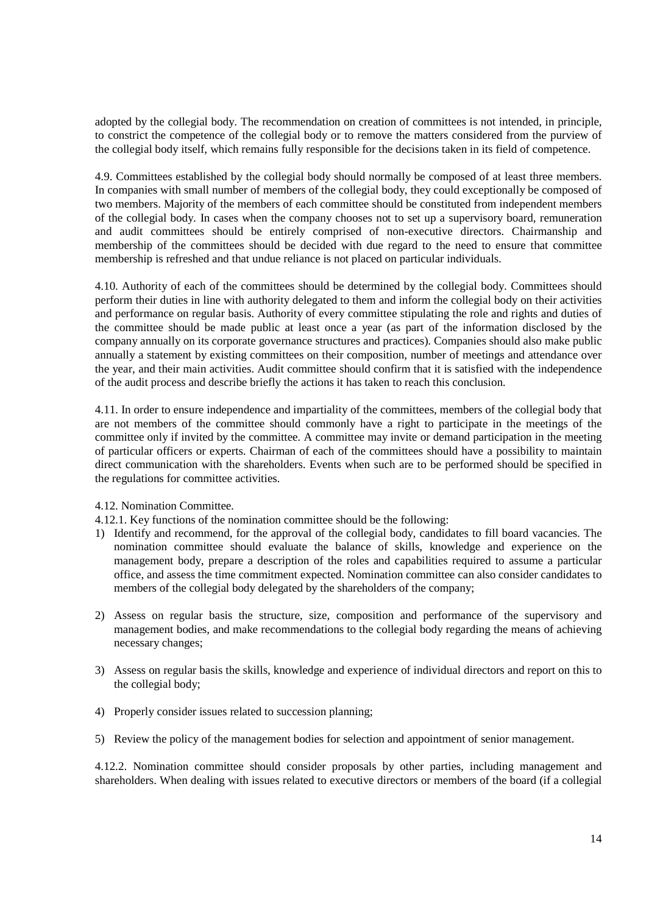adopted by the collegial body. The recommendation on creation of committees is not intended, in principle, to constrict the competence of the collegial body or to remove the matters considered from the purview of the collegial body itself, which remains fully responsible for the decisions taken in its field of competence.

4.9. Committees established by the collegial body should normally be composed of at least three members. In companies with small number of members of the collegial body, they could exceptionally be composed of two members. Majority of the members of each committee should be constituted from independent members of the collegial body. In cases when the company chooses not to set up a supervisory board, remuneration and audit committees should be entirely comprised of non-executive directors. Chairmanship and membership of the committees should be decided with due regard to the need to ensure that committee membership is refreshed and that undue reliance is not placed on particular individuals.

4.10. Authority of each of the committees should be determined by the collegial body. Committees should perform their duties in line with authority delegated to them and inform the collegial body on their activities and performance on regular basis. Authority of every committee stipulating the role and rights and duties of the committee should be made public at least once a year (as part of the information disclosed by the company annually on its corporate governance structures and practices). Companies should also make public annually a statement by existing committees on their composition, number of meetings and attendance over the year, and their main activities. Audit committee should confirm that it is satisfied with the independence of the audit process and describe briefly the actions it has taken to reach this conclusion.

4.11. In order to ensure independence and impartiality of the committees, members of the collegial body that are not members of the committee should commonly have a right to participate in the meetings of the committee only if invited by the committee. A committee may invite or demand participation in the meeting of particular officers or experts. Chairman of each of the committees should have a possibility to maintain direct communication with the shareholders. Events when such are to be performed should be specified in the regulations for committee activities.

## 4.12. Nomination Committee.

4.12.1. Key functions of the nomination committee should be the following:

- 1) Identify and recommend, for the approval of the collegial body, candidates to fill board vacancies. The nomination committee should evaluate the balance of skills, knowledge and experience on the management body, prepare a description of the roles and capabilities required to assume a particular office, and assess the time commitment expected. Nomination committee can also consider candidates to members of the collegial body delegated by the shareholders of the company;
- 2) Assess on regular basis the structure, size, composition and performance of the supervisory and management bodies, and make recommendations to the collegial body regarding the means of achieving necessary changes;
- 3) Assess on regular basis the skills, knowledge and experience of individual directors and report on this to the collegial body;
- 4) Properly consider issues related to succession planning;
- 5) Review the policy of the management bodies for selection and appointment of senior management.

4.12.2. Nomination committee should consider proposals by other parties, including management and shareholders. When dealing with issues related to executive directors or members of the board (if a collegial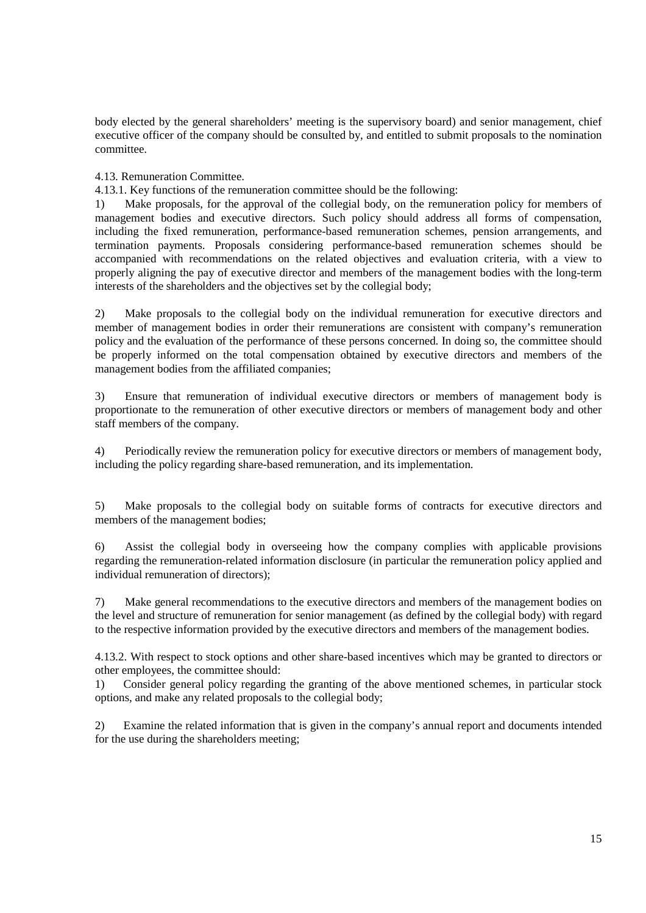body elected by the general shareholders' meeting is the supervisory board) and senior management, chief executive officer of the company should be consulted by, and entitled to submit proposals to the nomination committee.

4.13. Remuneration Committee.

4.13.1. Key functions of the remuneration committee should be the following:

1) Make proposals, for the approval of the collegial body, on the remuneration policy for members of management bodies and executive directors. Such policy should address all forms of compensation, including the fixed remuneration, performance-based remuneration schemes, pension arrangements, and termination payments. Proposals considering performance-based remuneration schemes should be accompanied with recommendations on the related objectives and evaluation criteria, with a view to properly aligning the pay of executive director and members of the management bodies with the long-term interests of the shareholders and the objectives set by the collegial body;

2) Make proposals to the collegial body on the individual remuneration for executive directors and member of management bodies in order their remunerations are consistent with company's remuneration policy and the evaluation of the performance of these persons concerned. In doing so, the committee should be properly informed on the total compensation obtained by executive directors and members of the management bodies from the affiliated companies;

3) Ensure that remuneration of individual executive directors or members of management body is proportionate to the remuneration of other executive directors or members of management body and other staff members of the company.

4) Periodically review the remuneration policy for executive directors or members of management body, including the policy regarding share-based remuneration, and its implementation.

5) Make proposals to the collegial body on suitable forms of contracts for executive directors and members of the management bodies;

6) Assist the collegial body in overseeing how the company complies with applicable provisions regarding the remuneration-related information disclosure (in particular the remuneration policy applied and individual remuneration of directors);

7) Make general recommendations to the executive directors and members of the management bodies on the level and structure of remuneration for senior management (as defined by the collegial body) with regard to the respective information provided by the executive directors and members of the management bodies.

4.13.2. With respect to stock options and other share-based incentives which may be granted to directors or other employees, the committee should:

1) Consider general policy regarding the granting of the above mentioned schemes, in particular stock options, and make any related proposals to the collegial body;

2) Examine the related information that is given in the company's annual report and documents intended for the use during the shareholders meeting;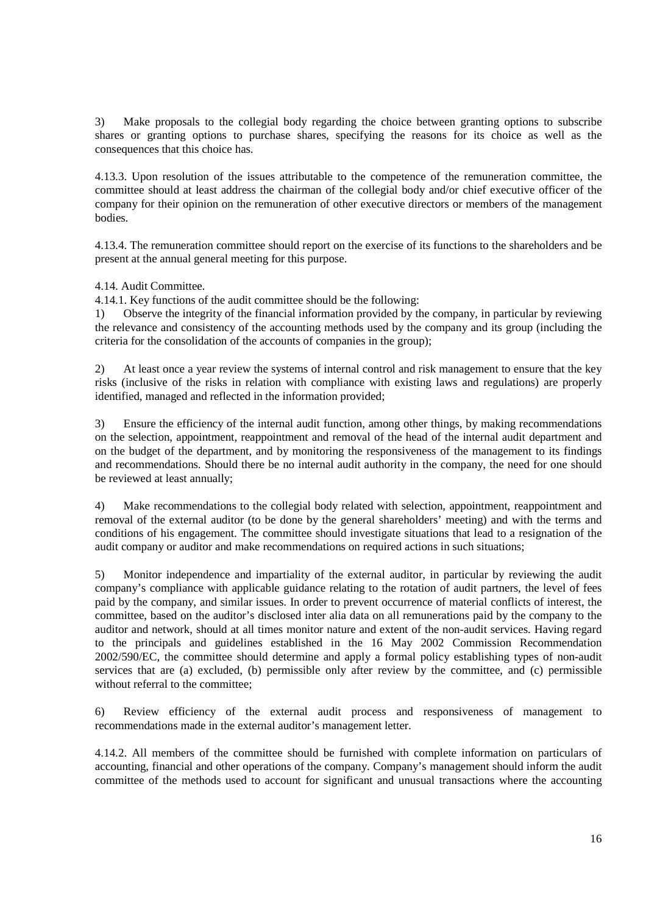3) Make proposals to the collegial body regarding the choice between granting options to subscribe shares or granting options to purchase shares, specifying the reasons for its choice as well as the consequences that this choice has.

4.13.3. Upon resolution of the issues attributable to the competence of the remuneration committee, the committee should at least address the chairman of the collegial body and/or chief executive officer of the company for their opinion on the remuneration of other executive directors or members of the management bodies.

4.13.4. The remuneration committee should report on the exercise of its functions to the shareholders and be present at the annual general meeting for this purpose.

4.14. Audit Committee.

4.14.1. Key functions of the audit committee should be the following:

1) Observe the integrity of the financial information provided by the company, in particular by reviewing the relevance and consistency of the accounting methods used by the company and its group (including the criteria for the consolidation of the accounts of companies in the group);

2) At least once a year review the systems of internal control and risk management to ensure that the key risks (inclusive of the risks in relation with compliance with existing laws and regulations) are properly identified, managed and reflected in the information provided;

3) Ensure the efficiency of the internal audit function, among other things, by making recommendations on the selection, appointment, reappointment and removal of the head of the internal audit department and on the budget of the department, and by monitoring the responsiveness of the management to its findings and recommendations. Should there be no internal audit authority in the company, the need for one should be reviewed at least annually;

4) Make recommendations to the collegial body related with selection, appointment, reappointment and removal of the external auditor (to be done by the general shareholders' meeting) and with the terms and conditions of his engagement. The committee should investigate situations that lead to a resignation of the audit company or auditor and make recommendations on required actions in such situations;

5) Monitor independence and impartiality of the external auditor, in particular by reviewing the audit company's compliance with applicable guidance relating to the rotation of audit partners, the level of fees paid by the company, and similar issues. In order to prevent occurrence of material conflicts of interest, the committee, based on the auditor's disclosed inter alia data on all remunerations paid by the company to the auditor and network, should at all times monitor nature and extent of the non-audit services. Having regard to the principals and guidelines established in the 16 May 2002 Commission Recommendation 2002/590/EC, the committee should determine and apply a formal policy establishing types of non-audit services that are (a) excluded, (b) permissible only after review by the committee, and (c) permissible without referral to the committee;

6) Review efficiency of the external audit process and responsiveness of management to recommendations made in the external auditor's management letter.

4.14.2. All members of the committee should be furnished with complete information on particulars of accounting, financial and other operations of the company. Company's management should inform the audit committee of the methods used to account for significant and unusual transactions where the accounting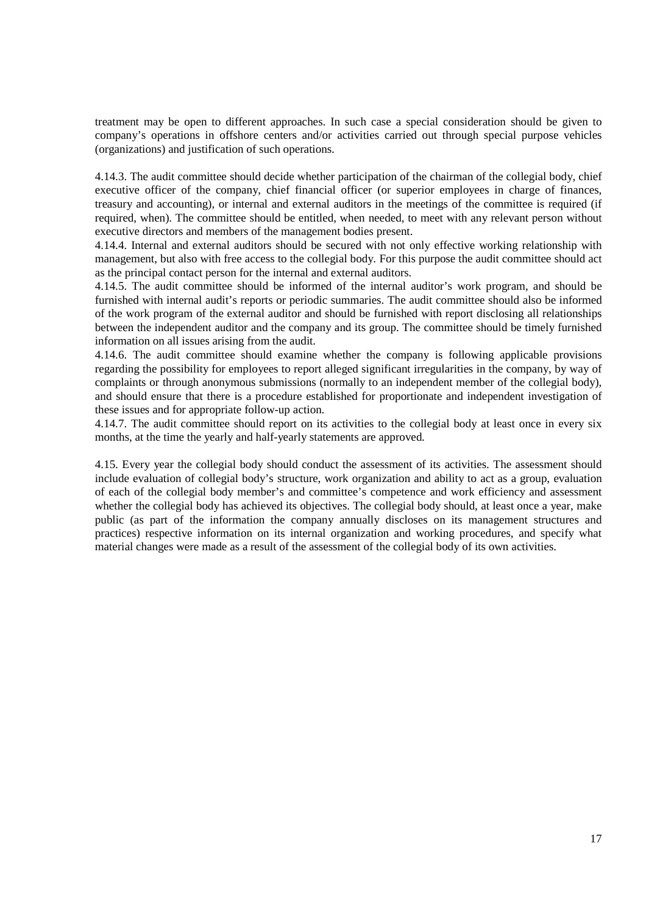treatment may be open to different approaches. In such case a special consideration should be given to company's operations in offshore centers and/or activities carried out through special purpose vehicles (organizations) and justification of such operations.

4.14.3. The audit committee should decide whether participation of the chairman of the collegial body, chief executive officer of the company, chief financial officer (or superior employees in charge of finances, treasury and accounting), or internal and external auditors in the meetings of the committee is required (if required, when). The committee should be entitled, when needed, to meet with any relevant person without executive directors and members of the management bodies present.

4.14.4. Internal and external auditors should be secured with not only effective working relationship with management, but also with free access to the collegial body. For this purpose the audit committee should act as the principal contact person for the internal and external auditors.

4.14.5. The audit committee should be informed of the internal auditor's work program, and should be furnished with internal audit's reports or periodic summaries. The audit committee should also be informed of the work program of the external auditor and should be furnished with report disclosing all relationships between the independent auditor and the company and its group. The committee should be timely furnished information on all issues arising from the audit.

4.14.6. The audit committee should examine whether the company is following applicable provisions regarding the possibility for employees to report alleged significant irregularities in the company, by way of complaints or through anonymous submissions (normally to an independent member of the collegial body), and should ensure that there is a procedure established for proportionate and independent investigation of these issues and for appropriate follow-up action.

4.14.7. The audit committee should report on its activities to the collegial body at least once in every six months, at the time the yearly and half-yearly statements are approved.

4.15. Every year the collegial body should conduct the assessment of its activities. The assessment should include evaluation of collegial body's structure, work organization and ability to act as a group, evaluation of each of the collegial body member's and committee's competence and work efficiency and assessment whether the collegial body has achieved its objectives. The collegial body should, at least once a year, make public (as part of the information the company annually discloses on its management structures and practices) respective information on its internal organization and working procedures, and specify what material changes were made as a result of the assessment of the collegial body of its own activities.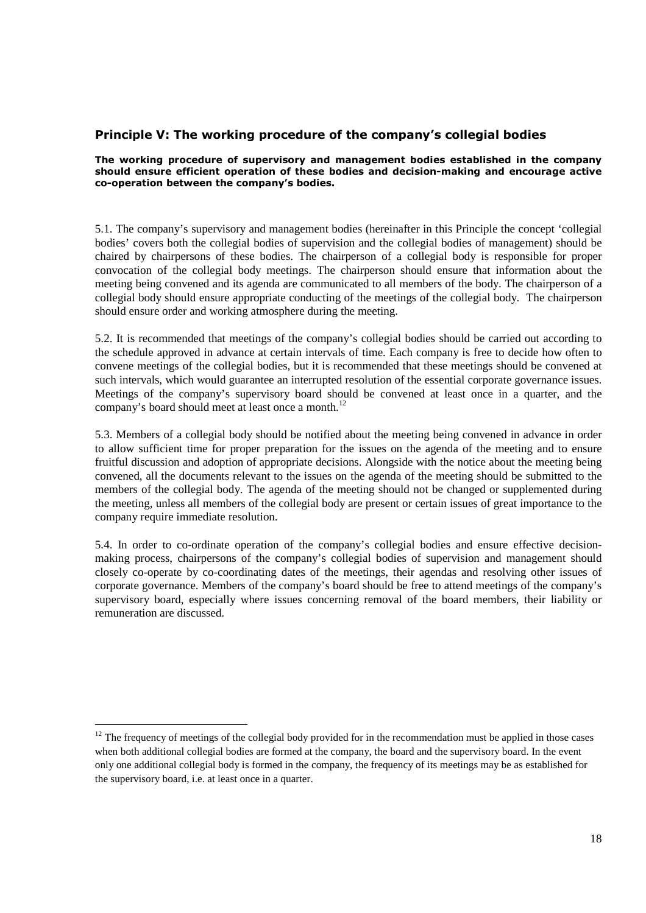## **Principle V: The working procedure of the company's collegial bodies**

**The working procedure of supervisory and management bodies established in the company should ensure efficient operation of these bodies and decision-making and encourage active co-operation between the company's bodies.** 

5.1. The company's supervisory and management bodies (hereinafter in this Principle the concept 'collegial bodies' covers both the collegial bodies of supervision and the collegial bodies of management) should be chaired by chairpersons of these bodies. The chairperson of a collegial body is responsible for proper convocation of the collegial body meetings. The chairperson should ensure that information about the meeting being convened and its agenda are communicated to all members of the body. The chairperson of a collegial body should ensure appropriate conducting of the meetings of the collegial body. The chairperson should ensure order and working atmosphere during the meeting.

5.2. It is recommended that meetings of the company's collegial bodies should be carried out according to the schedule approved in advance at certain intervals of time. Each company is free to decide how often to convene meetings of the collegial bodies, but it is recommended that these meetings should be convened at such intervals, which would guarantee an interrupted resolution of the essential corporate governance issues. Meetings of the company's supervisory board should be convened at least once in a quarter, and the company's board should meet at least once a month.<sup>12</sup>

5.3. Members of a collegial body should be notified about the meeting being convened in advance in order to allow sufficient time for proper preparation for the issues on the agenda of the meeting and to ensure fruitful discussion and adoption of appropriate decisions. Alongside with the notice about the meeting being convened, all the documents relevant to the issues on the agenda of the meeting should be submitted to the members of the collegial body. The agenda of the meeting should not be changed or supplemented during the meeting, unless all members of the collegial body are present or certain issues of great importance to the company require immediate resolution.

5.4. In order to co-ordinate operation of the company's collegial bodies and ensure effective decisionmaking process, chairpersons of the company's collegial bodies of supervision and management should closely co-operate by co-coordinating dates of the meetings, their agendas and resolving other issues of corporate governance. Members of the company's board should be free to attend meetings of the company's supervisory board, especially where issues concerning removal of the board members, their liability or remuneration are discussed.

 $12$  The frequency of meetings of the collegial body provided for in the recommendation must be applied in those cases when both additional collegial bodies are formed at the company, the board and the supervisory board. In the event only one additional collegial body is formed in the company, the frequency of its meetings may be as established for the supervisory board, i.e. at least once in a quarter.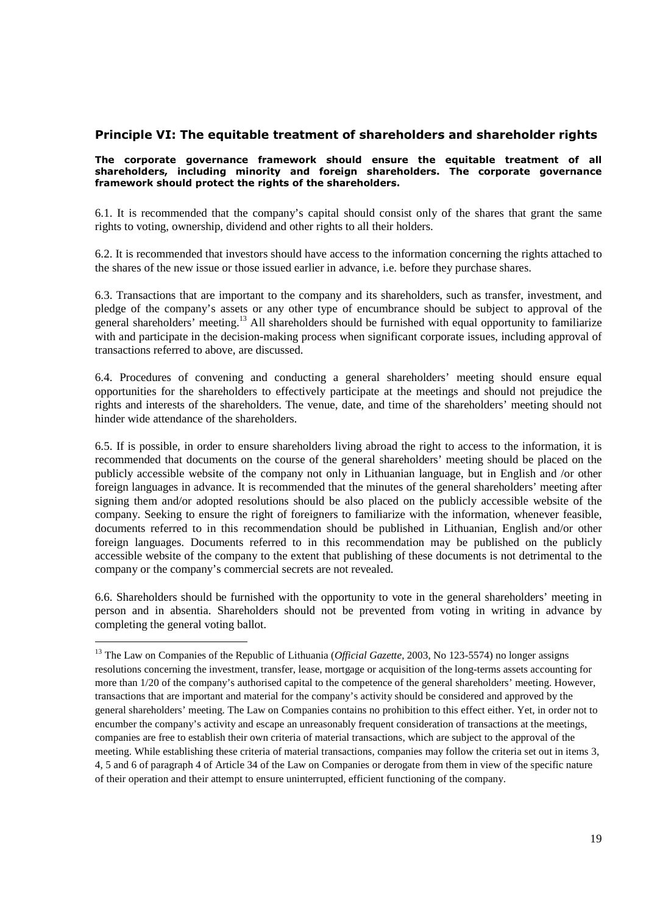## **Principle VI: The equitable treatment of shareholders and shareholder rights**

#### **The corporate governance framework should ensure the equitable treatment of all shareholders, including minority and foreign shareholders. The corporate governance framework should protect the rights of the shareholders.**

6.1. It is recommended that the company's capital should consist only of the shares that grant the same rights to voting, ownership, dividend and other rights to all their holders.

6.2. It is recommended that investors should have access to the information concerning the rights attached to the shares of the new issue or those issued earlier in advance, i.e. before they purchase shares.

6.3. Transactions that are important to the company and its shareholders, such as transfer, investment, and pledge of the company's assets or any other type of encumbrance should be subject to approval of the general shareholders' meeting.<sup>13</sup> All shareholders should be furnished with equal opportunity to familiarize with and participate in the decision-making process when significant corporate issues, including approval of transactions referred to above, are discussed.

6.4. Procedures of convening and conducting a general shareholders' meeting should ensure equal opportunities for the shareholders to effectively participate at the meetings and should not prejudice the rights and interests of the shareholders. The venue, date, and time of the shareholders' meeting should not hinder wide attendance of the shareholders.

6.5. If is possible, in order to ensure shareholders living abroad the right to access to the information, it is recommended that documents on the course of the general shareholders' meeting should be placed on the publicly accessible website of the company not only in Lithuanian language, but in English and /or other foreign languages in advance. It is recommended that the minutes of the general shareholders' meeting after signing them and/or adopted resolutions should be also placed on the publicly accessible website of the company. Seeking to ensure the right of foreigners to familiarize with the information, whenever feasible, documents referred to in this recommendation should be published in Lithuanian, English and/or other foreign languages. Documents referred to in this recommendation may be published on the publicly accessible website of the company to the extent that publishing of these documents is not detrimental to the company or the company's commercial secrets are not revealed.

6.6. Shareholders should be furnished with the opportunity to vote in the general shareholders' meeting in person and in absentia. Shareholders should not be prevented from voting in writing in advance by completing the general voting ballot.

l

<sup>&</sup>lt;sup>13</sup> The Law on Companies of the Republic of Lithuania (*Official Gazette*, 2003, No 123-5574) no longer assigns resolutions concerning the investment, transfer, lease, mortgage or acquisition of the long-terms assets accounting for more than 1/20 of the company's authorised capital to the competence of the general shareholders' meeting. However, transactions that are important and material for the company's activity should be considered and approved by the general shareholders' meeting. The Law on Companies contains no prohibition to this effect either. Yet, in order not to encumber the company's activity and escape an unreasonably frequent consideration of transactions at the meetings, companies are free to establish their own criteria of material transactions, which are subject to the approval of the meeting. While establishing these criteria of material transactions, companies may follow the criteria set out in items 3, 4, 5 and 6 of paragraph 4 of Article 34 of the Law on Companies or derogate from them in view of the specific nature of their operation and their attempt to ensure uninterrupted, efficient functioning of the company.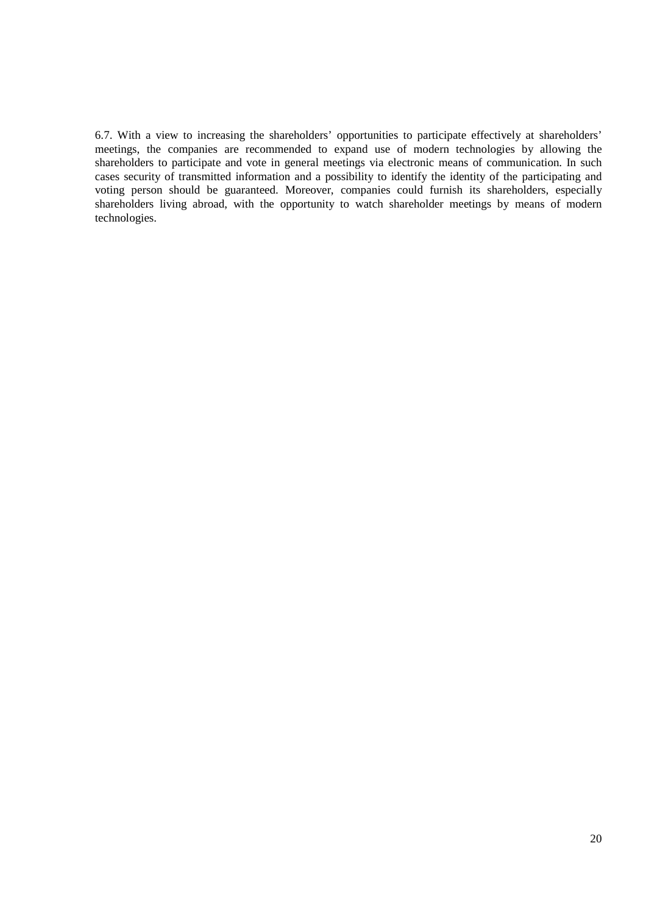6.7. With a view to increasing the shareholders' opportunities to participate effectively at shareholders' meetings, the companies are recommended to expand use of modern technologies by allowing the shareholders to participate and vote in general meetings via electronic means of communication. In such cases security of transmitted information and a possibility to identify the identity of the participating and voting person should be guaranteed. Moreover, companies could furnish its shareholders, especially shareholders living abroad, with the opportunity to watch shareholder meetings by means of modern technologies.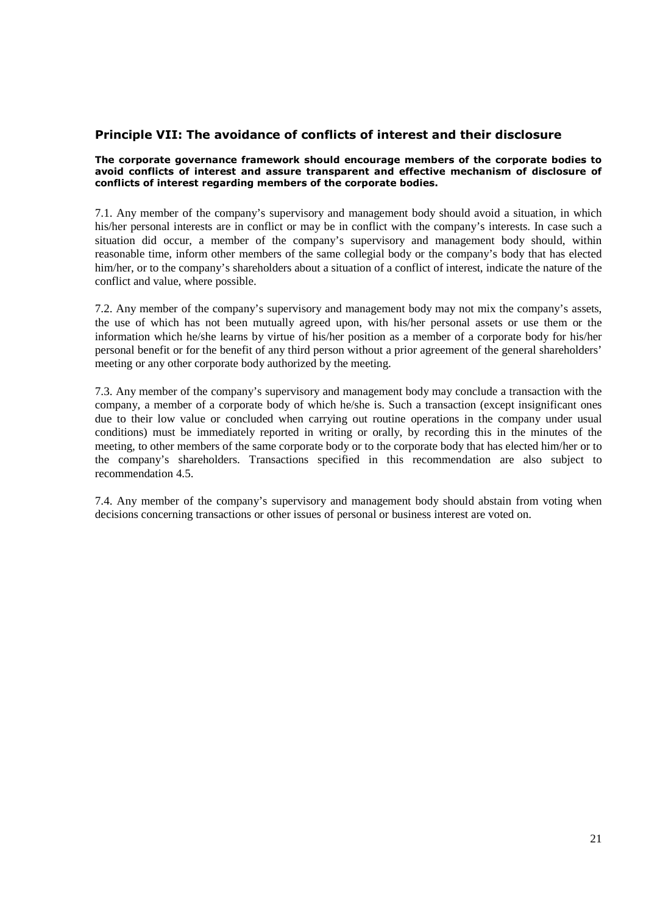# **Principle VII: The avoidance of conflicts of interest and their disclosure**

#### **The corporate governance framework should encourage members of the corporate bodies to avoid conflicts of interest and assure transparent and effective mechanism of disclosure of conflicts of interest regarding members of the corporate bodies.**

7.1. Any member of the company's supervisory and management body should avoid a situation, in which his/her personal interests are in conflict or may be in conflict with the company's interests. In case such a situation did occur, a member of the company's supervisory and management body should, within reasonable time, inform other members of the same collegial body or the company's body that has elected him/her, or to the company's shareholders about a situation of a conflict of interest, indicate the nature of the conflict and value, where possible.

7.2. Any member of the company's supervisory and management body may not mix the company's assets, the use of which has not been mutually agreed upon, with his/her personal assets or use them or the information which he/she learns by virtue of his/her position as a member of a corporate body for his/her personal benefit or for the benefit of any third person without a prior agreement of the general shareholders' meeting or any other corporate body authorized by the meeting.

7.3. Any member of the company's supervisory and management body may conclude a transaction with the company, a member of a corporate body of which he/she is. Such a transaction (except insignificant ones due to their low value or concluded when carrying out routine operations in the company under usual conditions) must be immediately reported in writing or orally, by recording this in the minutes of the meeting, to other members of the same corporate body or to the corporate body that has elected him/her or to the company's shareholders. Transactions specified in this recommendation are also subject to recommendation 4.5.

7.4. Any member of the company's supervisory and management body should abstain from voting when decisions concerning transactions or other issues of personal or business interest are voted on.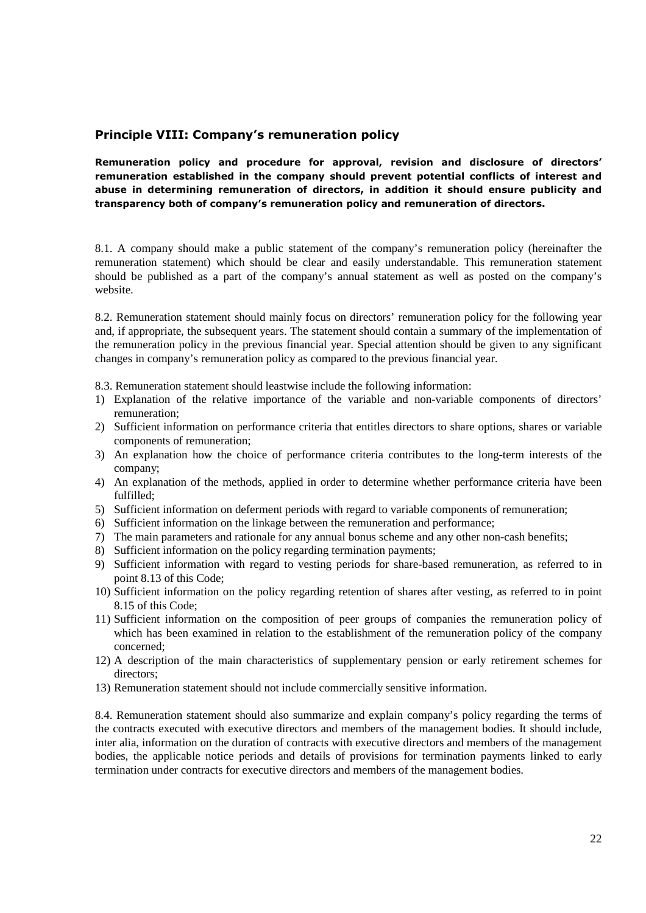# **Principle VIII: Company's remuneration policy**

**Remuneration policy and procedure for approval, revision and disclosure of directors' remuneration established in the company should prevent potential conflicts of interest and abuse in determining remuneration of directors, in addition it should ensure publicity and transparency both of company's remuneration policy and remuneration of directors.** 

8.1. A company should make a public statement of the company's remuneration policy (hereinafter the remuneration statement) which should be clear and easily understandable. This remuneration statement should be published as a part of the company's annual statement as well as posted on the company's website.

8.2. Remuneration statement should mainly focus on directors' remuneration policy for the following year and, if appropriate, the subsequent years. The statement should contain a summary of the implementation of the remuneration policy in the previous financial year. Special attention should be given to any significant changes in company's remuneration policy as compared to the previous financial year.

- 8.3. Remuneration statement should leastwise include the following information:
- 1) Explanation of the relative importance of the variable and non-variable components of directors' remuneration;
- 2) Sufficient information on performance criteria that entitles directors to share options, shares or variable components of remuneration;
- 3) An explanation how the choice of performance criteria contributes to the long-term interests of the company;
- 4) An explanation of the methods, applied in order to determine whether performance criteria have been fulfilled;
- 5) Sufficient information on deferment periods with regard to variable components of remuneration;
- 6) Sufficient information on the linkage between the remuneration and performance;
- 7) The main parameters and rationale for any annual bonus scheme and any other non-cash benefits;
- 8) Sufficient information on the policy regarding termination payments;
- 9) Sufficient information with regard to vesting periods for share-based remuneration, as referred to in point 8.13 of this Code;
- 10) Sufficient information on the policy regarding retention of shares after vesting, as referred to in point 8.15 of this Code;
- 11) Sufficient information on the composition of peer groups of companies the remuneration policy of which has been examined in relation to the establishment of the remuneration policy of the company concerned;
- 12) A description of the main characteristics of supplementary pension or early retirement schemes for directors;
- 13) Remuneration statement should not include commercially sensitive information.

8.4. Remuneration statement should also summarize and explain company's policy regarding the terms of the contracts executed with executive directors and members of the management bodies. It should include, inter alia, information on the duration of contracts with executive directors and members of the management bodies, the applicable notice periods and details of provisions for termination payments linked to early termination under contracts for executive directors and members of the management bodies.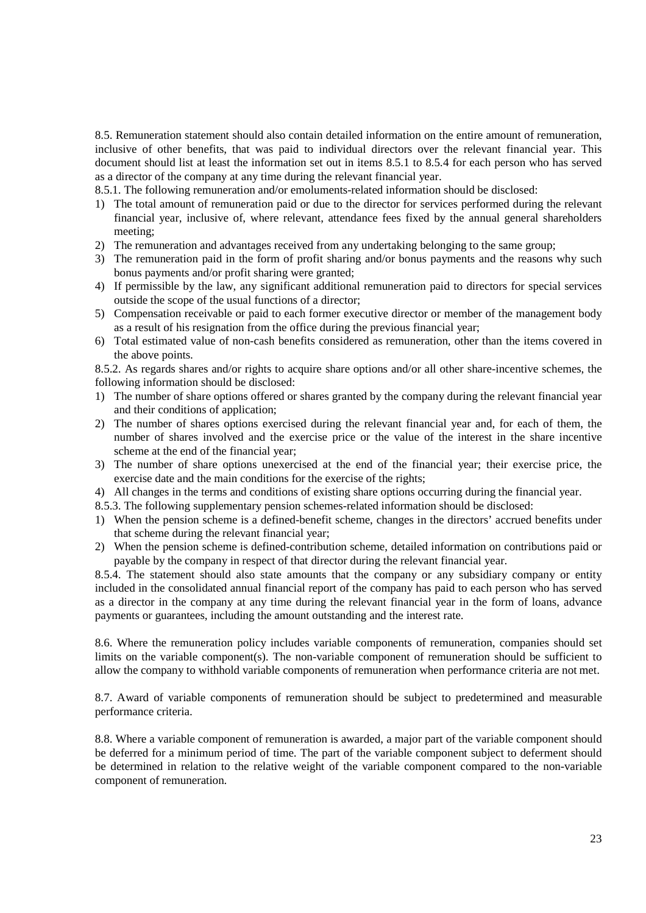8.5. Remuneration statement should also contain detailed information on the entire amount of remuneration, inclusive of other benefits, that was paid to individual directors over the relevant financial year. This document should list at least the information set out in items 8.5.1 to 8.5.4 for each person who has served as a director of the company at any time during the relevant financial year.

8.5.1. The following remuneration and/or emoluments-related information should be disclosed:

- 1) The total amount of remuneration paid or due to the director for services performed during the relevant financial year, inclusive of, where relevant, attendance fees fixed by the annual general shareholders meeting;
- 2) The remuneration and advantages received from any undertaking belonging to the same group;
- 3) The remuneration paid in the form of profit sharing and/or bonus payments and the reasons why such bonus payments and/or profit sharing were granted;
- 4) If permissible by the law, any significant additional remuneration paid to directors for special services outside the scope of the usual functions of a director;
- 5) Compensation receivable or paid to each former executive director or member of the management body as a result of his resignation from the office during the previous financial year;
- 6) Total estimated value of non-cash benefits considered as remuneration, other than the items covered in the above points.

8.5.2. As regards shares and/or rights to acquire share options and/or all other share-incentive schemes, the following information should be disclosed:

- 1) The number of share options offered or shares granted by the company during the relevant financial year and their conditions of application;
- 2) The number of shares options exercised during the relevant financial year and, for each of them, the number of shares involved and the exercise price or the value of the interest in the share incentive scheme at the end of the financial year;
- 3) The number of share options unexercised at the end of the financial year; their exercise price, the exercise date and the main conditions for the exercise of the rights;
- 4) All changes in the terms and conditions of existing share options occurring during the financial year.

8.5.3. The following supplementary pension schemes-related information should be disclosed:

- 1) When the pension scheme is a defined-benefit scheme, changes in the directors' accrued benefits under that scheme during the relevant financial year;
- 2) When the pension scheme is defined-contribution scheme, detailed information on contributions paid or payable by the company in respect of that director during the relevant financial year.

8.5.4. The statement should also state amounts that the company or any subsidiary company or entity included in the consolidated annual financial report of the company has paid to each person who has served as a director in the company at any time during the relevant financial year in the form of loans, advance payments or guarantees, including the amount outstanding and the interest rate.

8.6. Where the remuneration policy includes variable components of remuneration, companies should set limits on the variable component(s). The non-variable component of remuneration should be sufficient to allow the company to withhold variable components of remuneration when performance criteria are not met.

8.7. Award of variable components of remuneration should be subject to predetermined and measurable performance criteria.

8.8. Where a variable component of remuneration is awarded, a major part of the variable component should be deferred for a minimum period of time. The part of the variable component subject to deferment should be determined in relation to the relative weight of the variable component compared to the non-variable component of remuneration.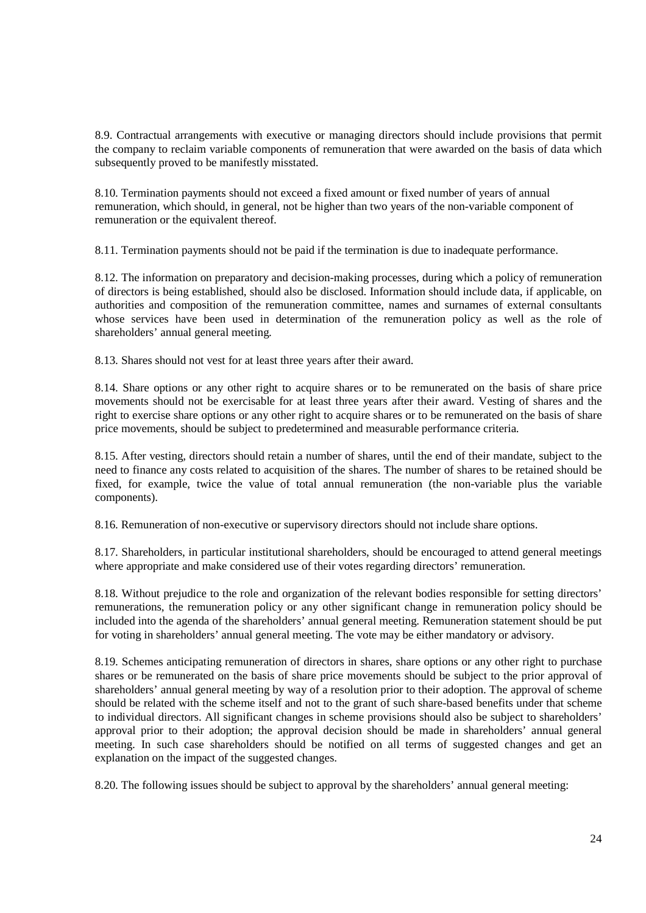8.9. Contractual arrangements with executive or managing directors should include provisions that permit the company to reclaim variable components of remuneration that were awarded on the basis of data which subsequently proved to be manifestly misstated.

8.10. Termination payments should not exceed a fixed amount or fixed number of years of annual remuneration, which should, in general, not be higher than two years of the non-variable component of remuneration or the equivalent thereof.

8.11. Termination payments should not be paid if the termination is due to inadequate performance.

8.12. The information on preparatory and decision-making processes, during which a policy of remuneration of directors is being established, should also be disclosed. Information should include data, if applicable, on authorities and composition of the remuneration committee, names and surnames of external consultants whose services have been used in determination of the remuneration policy as well as the role of shareholders' annual general meeting.

8.13. Shares should not vest for at least three years after their award.

8.14. Share options or any other right to acquire shares or to be remunerated on the basis of share price movements should not be exercisable for at least three years after their award. Vesting of shares and the right to exercise share options or any other right to acquire shares or to be remunerated on the basis of share price movements, should be subject to predetermined and measurable performance criteria.

8.15. After vesting, directors should retain a number of shares, until the end of their mandate, subject to the need to finance any costs related to acquisition of the shares. The number of shares to be retained should be fixed, for example, twice the value of total annual remuneration (the non-variable plus the variable components).

8.16. Remuneration of non-executive or supervisory directors should not include share options.

8.17. Shareholders, in particular institutional shareholders, should be encouraged to attend general meetings where appropriate and make considered use of their votes regarding directors' remuneration.

8.18. Without prejudice to the role and organization of the relevant bodies responsible for setting directors' remunerations, the remuneration policy or any other significant change in remuneration policy should be included into the agenda of the shareholders' annual general meeting. Remuneration statement should be put for voting in shareholders' annual general meeting. The vote may be either mandatory or advisory.

8.19. Schemes anticipating remuneration of directors in shares, share options or any other right to purchase shares or be remunerated on the basis of share price movements should be subject to the prior approval of shareholders' annual general meeting by way of a resolution prior to their adoption. The approval of scheme should be related with the scheme itself and not to the grant of such share-based benefits under that scheme to individual directors. All significant changes in scheme provisions should also be subject to shareholders' approval prior to their adoption; the approval decision should be made in shareholders' annual general meeting. In such case shareholders should be notified on all terms of suggested changes and get an explanation on the impact of the suggested changes.

8.20. The following issues should be subject to approval by the shareholders' annual general meeting: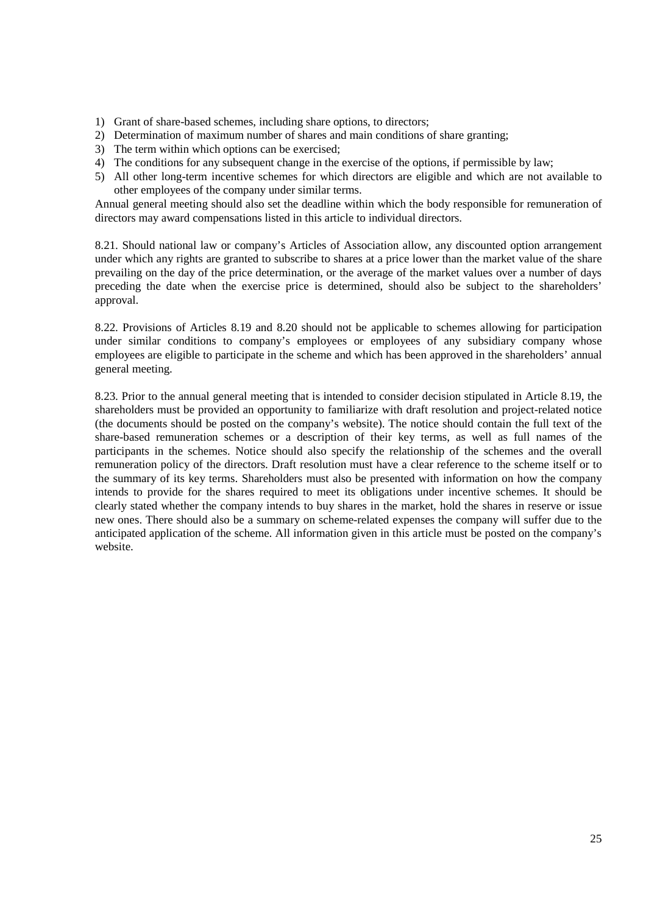- 1) Grant of share-based schemes, including share options, to directors;
- 2) Determination of maximum number of shares and main conditions of share granting;
- 3) The term within which options can be exercised;
- 4) The conditions for any subsequent change in the exercise of the options, if permissible by law;
- 5) All other long-term incentive schemes for which directors are eligible and which are not available to other employees of the company under similar terms.

Annual general meeting should also set the deadline within which the body responsible for remuneration of directors may award compensations listed in this article to individual directors.

8.21. Should national law or company's Articles of Association allow, any discounted option arrangement under which any rights are granted to subscribe to shares at a price lower than the market value of the share prevailing on the day of the price determination, or the average of the market values over a number of days preceding the date when the exercise price is determined, should also be subject to the shareholders' approval.

8.22. Provisions of Articles 8.19 and 8.20 should not be applicable to schemes allowing for participation under similar conditions to company's employees or employees of any subsidiary company whose employees are eligible to participate in the scheme and which has been approved in the shareholders' annual general meeting.

8.23. Prior to the annual general meeting that is intended to consider decision stipulated in Article 8.19, the shareholders must be provided an opportunity to familiarize with draft resolution and project-related notice (the documents should be posted on the company's website). The notice should contain the full text of the share-based remuneration schemes or a description of their key terms, as well as full names of the participants in the schemes. Notice should also specify the relationship of the schemes and the overall remuneration policy of the directors. Draft resolution must have a clear reference to the scheme itself or to the summary of its key terms. Shareholders must also be presented with information on how the company intends to provide for the shares required to meet its obligations under incentive schemes. It should be clearly stated whether the company intends to buy shares in the market, hold the shares in reserve or issue new ones. There should also be a summary on scheme-related expenses the company will suffer due to the anticipated application of the scheme. All information given in this article must be posted on the company's website.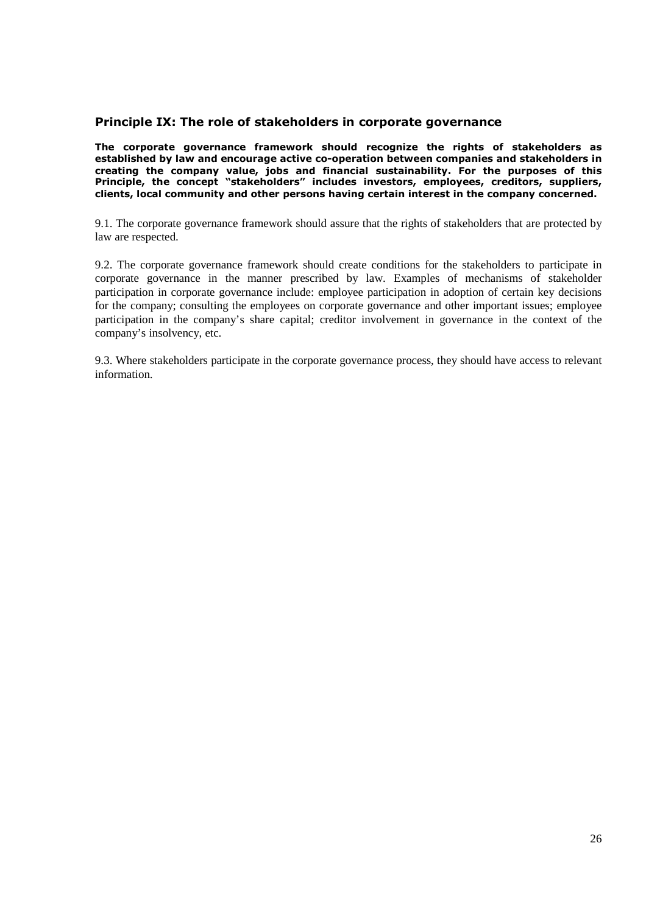# **Principle IX: The role of stakeholders in corporate governance**

**The corporate governance framework should recognize the rights of stakeholders as established by law and encourage active co-operation between companies and stakeholders in creating the company value, jobs and financial sustainability. For the purposes of this Principle, the concept "stakeholders" includes investors, employees, creditors, suppliers, clients, local community and other persons having certain interest in the company concerned.** 

9.1. The corporate governance framework should assure that the rights of stakeholders that are protected by law are respected.

9.2. The corporate governance framework should create conditions for the stakeholders to participate in corporate governance in the manner prescribed by law. Examples of mechanisms of stakeholder participation in corporate governance include: employee participation in adoption of certain key decisions for the company; consulting the employees on corporate governance and other important issues; employee participation in the company's share capital; creditor involvement in governance in the context of the company's insolvency, etc.

9.3. Where stakeholders participate in the corporate governance process, they should have access to relevant information.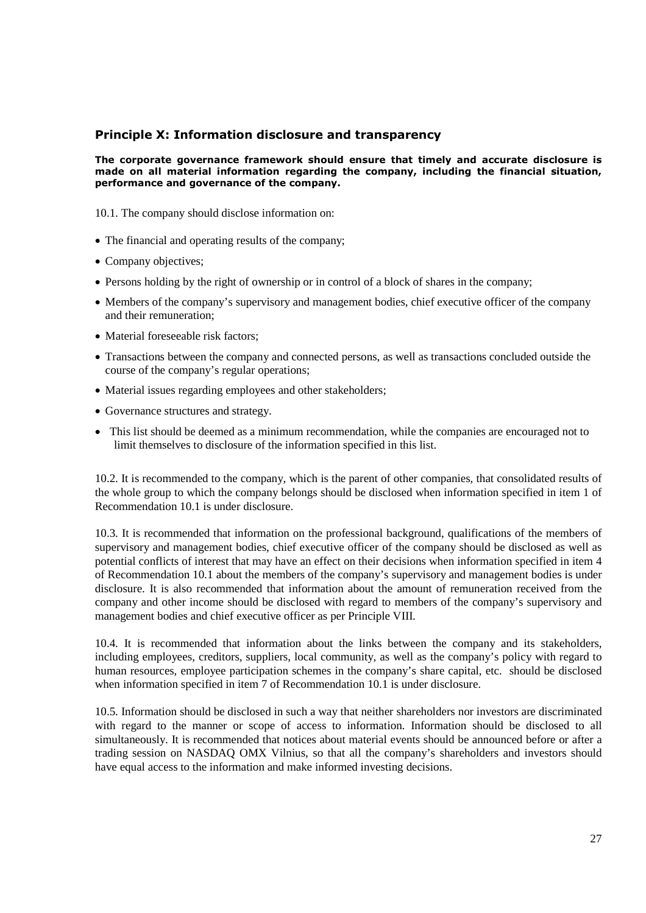# **Principle X: Information disclosure and transparency**

**The corporate governance framework should ensure that timely and accurate disclosure is made on all material information regarding the company, including the financial situation, performance and governance of the company.** 

10.1. The company should disclose information on:

- The financial and operating results of the company;
- Company objectives;
- Persons holding by the right of ownership or in control of a block of shares in the company;
- Members of the company's supervisory and management bodies, chief executive officer of the company and their remuneration;
- Material foreseeable risk factors;
- Transactions between the company and connected persons, as well as transactions concluded outside the course of the company's regular operations;
- Material issues regarding employees and other stakeholders;
- Governance structures and strategy.
- This list should be deemed as a minimum recommendation, while the companies are encouraged not to limit themselves to disclosure of the information specified in this list.

10.2. It is recommended to the company, which is the parent of other companies, that consolidated results of the whole group to which the company belongs should be disclosed when information specified in item 1 of Recommendation 10.1 is under disclosure.

10.3. It is recommended that information on the professional background, qualifications of the members of supervisory and management bodies, chief executive officer of the company should be disclosed as well as potential conflicts of interest that may have an effect on their decisions when information specified in item 4 of Recommendation 10.1 about the members of the company's supervisory and management bodies is under disclosure. It is also recommended that information about the amount of remuneration received from the company and other income should be disclosed with regard to members of the company's supervisory and management bodies and chief executive officer as per Principle VIII.

10.4. It is recommended that information about the links between the company and its stakeholders, including employees, creditors, suppliers, local community, as well as the company's policy with regard to human resources, employee participation schemes in the company's share capital, etc. should be disclosed when information specified in item 7 of Recommendation 10.1 is under disclosure.

10.5. Information should be disclosed in such a way that neither shareholders nor investors are discriminated with regard to the manner or scope of access to information. Information should be disclosed to all simultaneously. It is recommended that notices about material events should be announced before or after a trading session on NASDAQ OMX Vilnius, so that all the company's shareholders and investors should have equal access to the information and make informed investing decisions.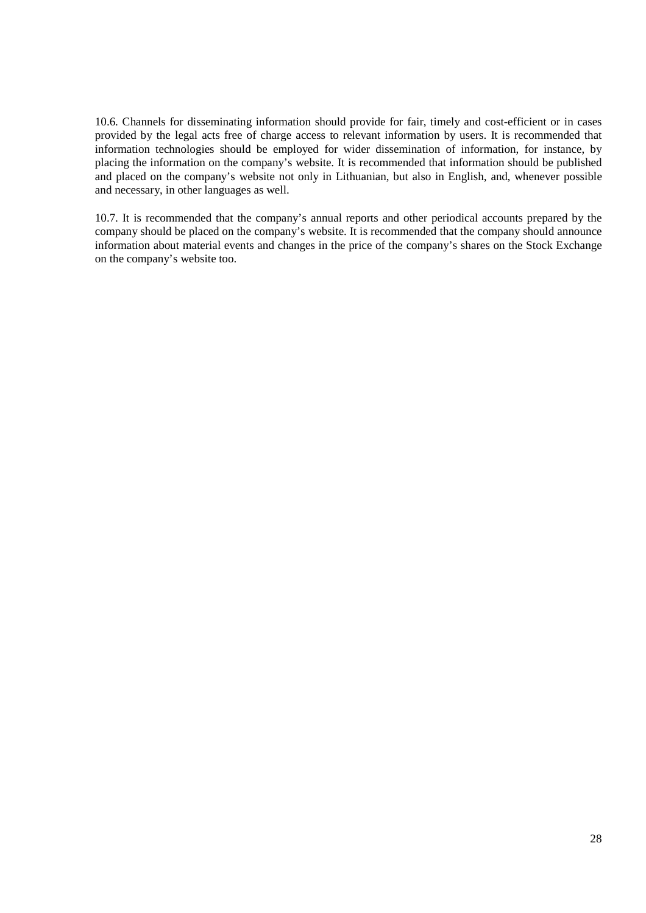10.6. Channels for disseminating information should provide for fair, timely and cost-efficient or in cases provided by the legal acts free of charge access to relevant information by users. It is recommended that information technologies should be employed for wider dissemination of information, for instance, by placing the information on the company's website. It is recommended that information should be published and placed on the company's website not only in Lithuanian, but also in English, and, whenever possible and necessary, in other languages as well.

10.7. It is recommended that the company's annual reports and other periodical accounts prepared by the company should be placed on the company's website. It is recommended that the company should announce information about material events and changes in the price of the company's shares on the Stock Exchange on the company's website too.